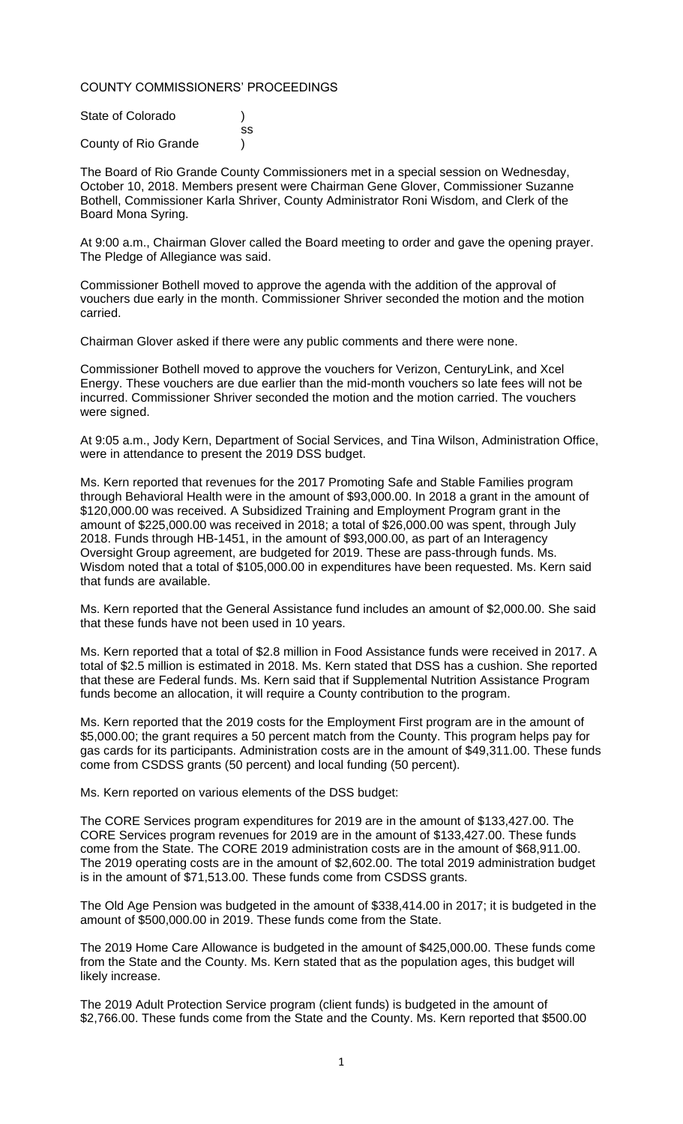### COUNTY COMMISSIONERS' PROCEEDINGS

| State of Colorado    |    |
|----------------------|----|
|                      | SS |
| County of Rio Grande |    |

The Board of Rio Grande County Commissioners met in a special session on Wednesday, October 10, 2018. Members present were Chairman Gene Glover, Commissioner Suzanne Bothell, Commissioner Karla Shriver, County Administrator Roni Wisdom, and Clerk of the Board Mona Syring.

At 9:00 a.m., Chairman Glover called the Board meeting to order and gave the opening prayer. The Pledge of Allegiance was said.

Commissioner Bothell moved to approve the agenda with the addition of the approval of vouchers due early in the month. Commissioner Shriver seconded the motion and the motion carried.

Chairman Glover asked if there were any public comments and there were none.

Commissioner Bothell moved to approve the vouchers for Verizon, CenturyLink, and Xcel Energy. These vouchers are due earlier than the mid-month vouchers so late fees will not be incurred. Commissioner Shriver seconded the motion and the motion carried. The vouchers were signed.

At 9:05 a.m., Jody Kern, Department of Social Services, and Tina Wilson, Administration Office, were in attendance to present the 2019 DSS budget.

Ms. Kern reported that revenues for the 2017 Promoting Safe and Stable Families program through Behavioral Health were in the amount of \$93,000.00. In 2018 a grant in the amount of \$120,000.00 was received. A Subsidized Training and Employment Program grant in the amount of \$225,000.00 was received in 2018; a total of \$26,000.00 was spent, through July 2018. Funds through HB-1451, in the amount of \$93,000.00, as part of an Interagency Oversight Group agreement, are budgeted for 2019. These are pass-through funds. Ms. Wisdom noted that a total of \$105,000.00 in expenditures have been requested. Ms. Kern said that funds are available.

Ms. Kern reported that the General Assistance fund includes an amount of \$2,000.00. She said that these funds have not been used in 10 years.

Ms. Kern reported that a total of \$2.8 million in Food Assistance funds were received in 2017. A total of \$2.5 million is estimated in 2018. Ms. Kern stated that DSS has a cushion. She reported that these are Federal funds. Ms. Kern said that if Supplemental Nutrition Assistance Program funds become an allocation, it will require a County contribution to the program.

Ms. Kern reported that the 2019 costs for the Employment First program are in the amount of \$5,000.00; the grant requires a 50 percent match from the County. This program helps pay for gas cards for its participants. Administration costs are in the amount of \$49,311.00. These funds come from CSDSS grants (50 percent) and local funding (50 percent).

Ms. Kern reported on various elements of the DSS budget:

The CORE Services program expenditures for 2019 are in the amount of \$133,427.00. The CORE Services program revenues for 2019 are in the amount of \$133,427.00. These funds come from the State. The CORE 2019 administration costs are in the amount of \$68,911.00. The 2019 operating costs are in the amount of \$2,602.00. The total 2019 administration budget is in the amount of \$71,513.00. These funds come from CSDSS grants.

The Old Age Pension was budgeted in the amount of \$338,414.00 in 2017; it is budgeted in the amount of \$500,000.00 in 2019. These funds come from the State.

The 2019 Home Care Allowance is budgeted in the amount of \$425,000.00. These funds come from the State and the County. Ms. Kern stated that as the population ages, this budget will likely increase.

The 2019 Adult Protection Service program (client funds) is budgeted in the amount of \$2,766.00. These funds come from the State and the County. Ms. Kern reported that \$500.00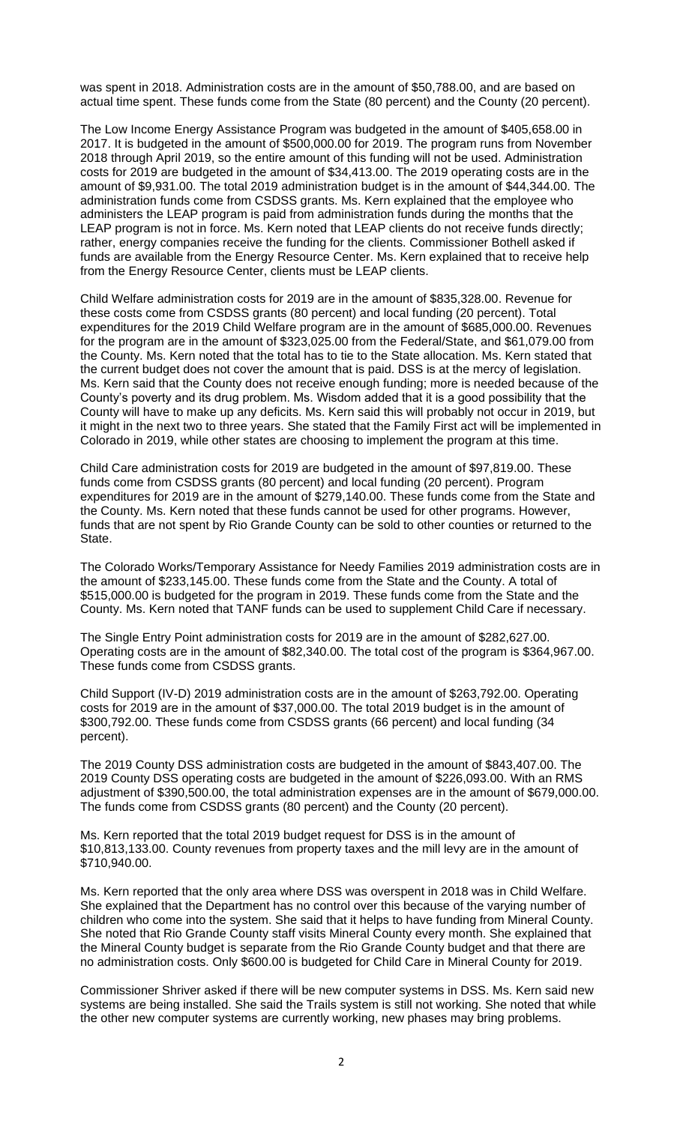was spent in 2018. Administration costs are in the amount of \$50,788.00, and are based on actual time spent. These funds come from the State (80 percent) and the County (20 percent).

The Low Income Energy Assistance Program was budgeted in the amount of \$405,658.00 in 2017. It is budgeted in the amount of \$500,000.00 for 2019. The program runs from November 2018 through April 2019, so the entire amount of this funding will not be used. Administration costs for 2019 are budgeted in the amount of \$34,413.00. The 2019 operating costs are in the amount of \$9,931.00. The total 2019 administration budget is in the amount of \$44,344.00. The administration funds come from CSDSS grants. Ms. Kern explained that the employee who administers the LEAP program is paid from administration funds during the months that the LEAP program is not in force. Ms. Kern noted that LEAP clients do not receive funds directly; rather, energy companies receive the funding for the clients. Commissioner Bothell asked if funds are available from the Energy Resource Center. Ms. Kern explained that to receive help from the Energy Resource Center, clients must be LEAP clients.

Child Welfare administration costs for 2019 are in the amount of \$835,328.00. Revenue for these costs come from CSDSS grants (80 percent) and local funding (20 percent). Total expenditures for the 2019 Child Welfare program are in the amount of \$685,000.00. Revenues for the program are in the amount of \$323,025.00 from the Federal/State, and \$61,079.00 from the County. Ms. Kern noted that the total has to tie to the State allocation. Ms. Kern stated that the current budget does not cover the amount that is paid. DSS is at the mercy of legislation. Ms. Kern said that the County does not receive enough funding; more is needed because of the County's poverty and its drug problem. Ms. Wisdom added that it is a good possibility that the County will have to make up any deficits. Ms. Kern said this will probably not occur in 2019, but it might in the next two to three years. She stated that the Family First act will be implemented in Colorado in 2019, while other states are choosing to implement the program at this time.

Child Care administration costs for 2019 are budgeted in the amount of \$97,819.00. These funds come from CSDSS grants (80 percent) and local funding (20 percent). Program expenditures for 2019 are in the amount of \$279,140.00. These funds come from the State and the County. Ms. Kern noted that these funds cannot be used for other programs. However, funds that are not spent by Rio Grande County can be sold to other counties or returned to the State.

The Colorado Works/Temporary Assistance for Needy Families 2019 administration costs are in the amount of \$233,145.00. These funds come from the State and the County. A total of \$515,000.00 is budgeted for the program in 2019. These funds come from the State and the County. Ms. Kern noted that TANF funds can be used to supplement Child Care if necessary.

The Single Entry Point administration costs for 2019 are in the amount of \$282,627.00. Operating costs are in the amount of \$82,340.00. The total cost of the program is \$364,967.00. These funds come from CSDSS grants.

Child Support (IV-D) 2019 administration costs are in the amount of \$263,792.00. Operating costs for 2019 are in the amount of \$37,000.00. The total 2019 budget is in the amount of \$300,792.00. These funds come from CSDSS grants (66 percent) and local funding (34 percent).

The 2019 County DSS administration costs are budgeted in the amount of \$843,407.00. The 2019 County DSS operating costs are budgeted in the amount of \$226,093.00. With an RMS adjustment of \$390,500.00, the total administration expenses are in the amount of \$679,000.00. The funds come from CSDSS grants (80 percent) and the County (20 percent).

Ms. Kern reported that the total 2019 budget request for DSS is in the amount of \$10,813,133.00. County revenues from property taxes and the mill levy are in the amount of \$710,940.00.

Ms. Kern reported that the only area where DSS was overspent in 2018 was in Child Welfare. She explained that the Department has no control over this because of the varying number of children who come into the system. She said that it helps to have funding from Mineral County. She noted that Rio Grande County staff visits Mineral County every month. She explained that the Mineral County budget is separate from the Rio Grande County budget and that there are no administration costs. Only \$600.00 is budgeted for Child Care in Mineral County for 2019.

Commissioner Shriver asked if there will be new computer systems in DSS. Ms. Kern said new systems are being installed. She said the Trails system is still not working. She noted that while the other new computer systems are currently working, new phases may bring problems.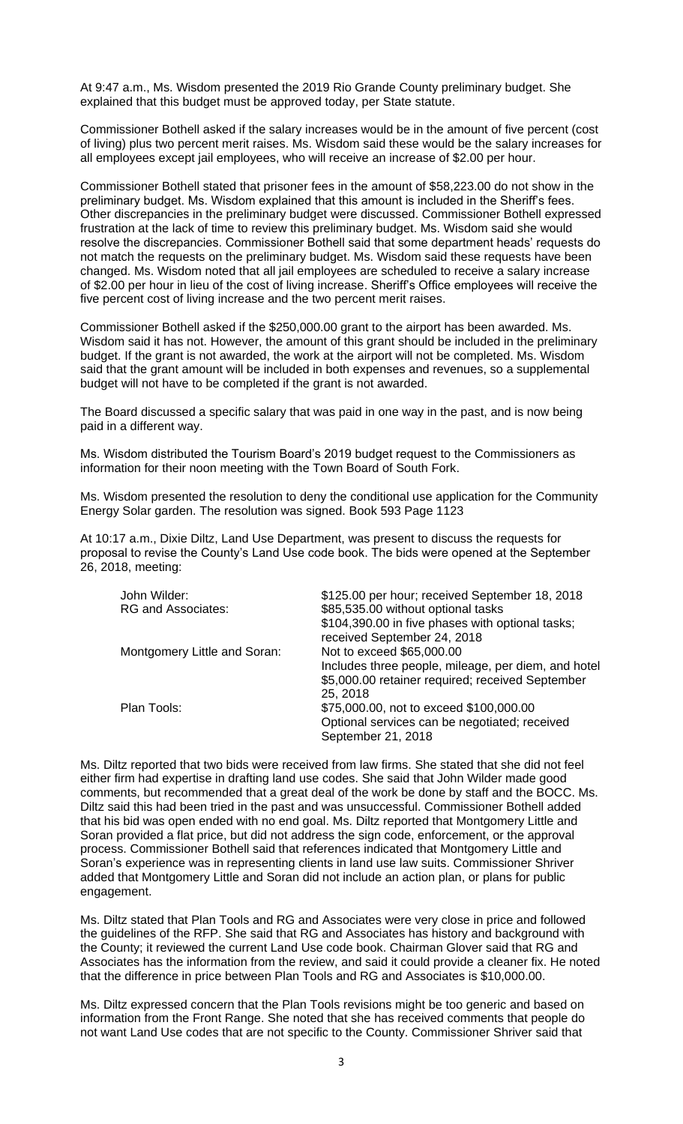At 9:47 a.m., Ms. Wisdom presented the 2019 Rio Grande County preliminary budget. She explained that this budget must be approved today, per State statute.

Commissioner Bothell asked if the salary increases would be in the amount of five percent (cost of living) plus two percent merit raises. Ms. Wisdom said these would be the salary increases for all employees except jail employees, who will receive an increase of \$2.00 per hour.

Commissioner Bothell stated that prisoner fees in the amount of \$58,223.00 do not show in the preliminary budget. Ms. Wisdom explained that this amount is included in the Sheriff's fees. Other discrepancies in the preliminary budget were discussed. Commissioner Bothell expressed frustration at the lack of time to review this preliminary budget. Ms. Wisdom said she would resolve the discrepancies. Commissioner Bothell said that some department heads' requests do not match the requests on the preliminary budget. Ms. Wisdom said these requests have been changed. Ms. Wisdom noted that all jail employees are scheduled to receive a salary increase of \$2.00 per hour in lieu of the cost of living increase. Sheriff's Office employees will receive the five percent cost of living increase and the two percent merit raises.

Commissioner Bothell asked if the \$250,000.00 grant to the airport has been awarded. Ms. Wisdom said it has not. However, the amount of this grant should be included in the preliminary budget. If the grant is not awarded, the work at the airport will not be completed. Ms. Wisdom said that the grant amount will be included in both expenses and revenues, so a supplemental budget will not have to be completed if the grant is not awarded.

The Board discussed a specific salary that was paid in one way in the past, and is now being paid in a different way.

Ms. Wisdom distributed the Tourism Board's 2019 budget request to the Commissioners as information for their noon meeting with the Town Board of South Fork.

Ms. Wisdom presented the resolution to deny the conditional use application for the Community Energy Solar garden. The resolution was signed. Book 593 Page 1123

At 10:17 a.m., Dixie Diltz, Land Use Department, was present to discuss the requests for proposal to revise the County's Land Use code book. The bids were opened at the September 26, 2018, meeting:

| John Wilder:<br><b>RG and Associates:</b> | \$125.00 per hour; received September 18, 2018<br>\$85,535.00 without optional tasks<br>\$104,390.00 in five phases with optional tasks;<br>received September 24, 2018 |
|-------------------------------------------|-------------------------------------------------------------------------------------------------------------------------------------------------------------------------|
| Montgomery Little and Soran:              | Not to exceed \$65,000.00<br>Includes three people, mileage, per diem, and hotel<br>\$5,000.00 retainer required; received September<br>25, 2018                        |
| Plan Tools:                               | \$75,000.00, not to exceed \$100,000.00<br>Optional services can be negotiated; received<br>September 21, 2018                                                          |

Ms. Diltz reported that two bids were received from law firms. She stated that she did not feel either firm had expertise in drafting land use codes. She said that John Wilder made good comments, but recommended that a great deal of the work be done by staff and the BOCC. Ms. Diltz said this had been tried in the past and was unsuccessful. Commissioner Bothell added that his bid was open ended with no end goal. Ms. Diltz reported that Montgomery Little and Soran provided a flat price, but did not address the sign code, enforcement, or the approval process. Commissioner Bothell said that references indicated that Montgomery Little and Soran's experience was in representing clients in land use law suits. Commissioner Shriver added that Montgomery Little and Soran did not include an action plan, or plans for public engagement.

Ms. Diltz stated that Plan Tools and RG and Associates were very close in price and followed the guidelines of the RFP. She said that RG and Associates has history and background with the County; it reviewed the current Land Use code book. Chairman Glover said that RG and Associates has the information from the review, and said it could provide a cleaner fix. He noted that the difference in price between Plan Tools and RG and Associates is \$10,000.00.

Ms. Diltz expressed concern that the Plan Tools revisions might be too generic and based on information from the Front Range. She noted that she has received comments that people do not want Land Use codes that are not specific to the County. Commissioner Shriver said that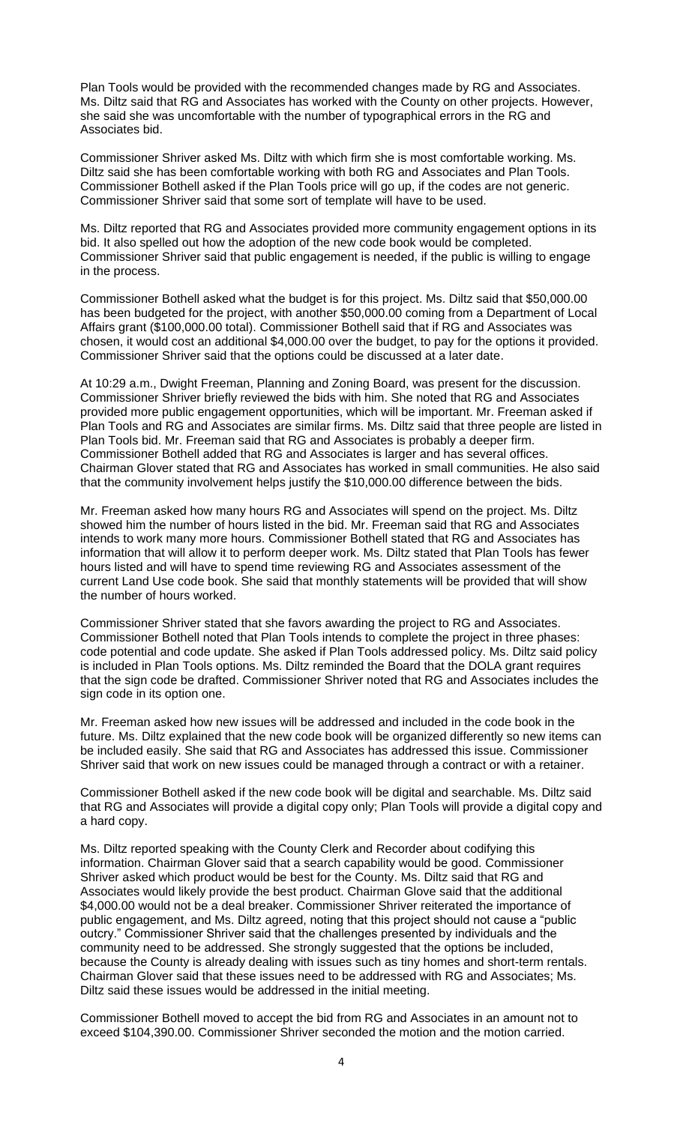Plan Tools would be provided with the recommended changes made by RG and Associates. Ms. Diltz said that RG and Associates has worked with the County on other projects. However, she said she was uncomfortable with the number of typographical errors in the RG and Associates bid.

Commissioner Shriver asked Ms. Diltz with which firm she is most comfortable working. Ms. Diltz said she has been comfortable working with both RG and Associates and Plan Tools. Commissioner Bothell asked if the Plan Tools price will go up, if the codes are not generic. Commissioner Shriver said that some sort of template will have to be used.

Ms. Diltz reported that RG and Associates provided more community engagement options in its bid. It also spelled out how the adoption of the new code book would be completed. Commissioner Shriver said that public engagement is needed, if the public is willing to engage in the process.

Commissioner Bothell asked what the budget is for this project. Ms. Diltz said that \$50,000.00 has been budgeted for the project, with another \$50,000.00 coming from a Department of Local Affairs grant (\$100,000.00 total). Commissioner Bothell said that if RG and Associates was chosen, it would cost an additional \$4,000.00 over the budget, to pay for the options it provided. Commissioner Shriver said that the options could be discussed at a later date.

At 10:29 a.m., Dwight Freeman, Planning and Zoning Board, was present for the discussion. Commissioner Shriver briefly reviewed the bids with him. She noted that RG and Associates provided more public engagement opportunities, which will be important. Mr. Freeman asked if Plan Tools and RG and Associates are similar firms. Ms. Diltz said that three people are listed in Plan Tools bid. Mr. Freeman said that RG and Associates is probably a deeper firm. Commissioner Bothell added that RG and Associates is larger and has several offices. Chairman Glover stated that RG and Associates has worked in small communities. He also said that the community involvement helps justify the \$10,000.00 difference between the bids.

Mr. Freeman asked how many hours RG and Associates will spend on the project. Ms. Diltz showed him the number of hours listed in the bid. Mr. Freeman said that RG and Associates intends to work many more hours. Commissioner Bothell stated that RG and Associates has information that will allow it to perform deeper work. Ms. Diltz stated that Plan Tools has fewer hours listed and will have to spend time reviewing RG and Associates assessment of the current Land Use code book. She said that monthly statements will be provided that will show the number of hours worked.

Commissioner Shriver stated that she favors awarding the project to RG and Associates. Commissioner Bothell noted that Plan Tools intends to complete the project in three phases: code potential and code update. She asked if Plan Tools addressed policy. Ms. Diltz said policy is included in Plan Tools options. Ms. Diltz reminded the Board that the DOLA grant requires that the sign code be drafted. Commissioner Shriver noted that RG and Associates includes the sign code in its option one.

Mr. Freeman asked how new issues will be addressed and included in the code book in the future. Ms. Diltz explained that the new code book will be organized differently so new items can be included easily. She said that RG and Associates has addressed this issue. Commissioner Shriver said that work on new issues could be managed through a contract or with a retainer.

Commissioner Bothell asked if the new code book will be digital and searchable. Ms. Diltz said that RG and Associates will provide a digital copy only; Plan Tools will provide a digital copy and a hard copy.

Ms. Diltz reported speaking with the County Clerk and Recorder about codifying this information. Chairman Glover said that a search capability would be good. Commissioner Shriver asked which product would be best for the County. Ms. Diltz said that RG and Associates would likely provide the best product. Chairman Glove said that the additional \$4,000.00 would not be a deal breaker. Commissioner Shriver reiterated the importance of public engagement, and Ms. Diltz agreed, noting that this project should not cause a "public outcry." Commissioner Shriver said that the challenges presented by individuals and the community need to be addressed. She strongly suggested that the options be included, because the County is already dealing with issues such as tiny homes and short-term rentals. Chairman Glover said that these issues need to be addressed with RG and Associates; Ms. Diltz said these issues would be addressed in the initial meeting.

Commissioner Bothell moved to accept the bid from RG and Associates in an amount not to exceed \$104,390.00. Commissioner Shriver seconded the motion and the motion carried.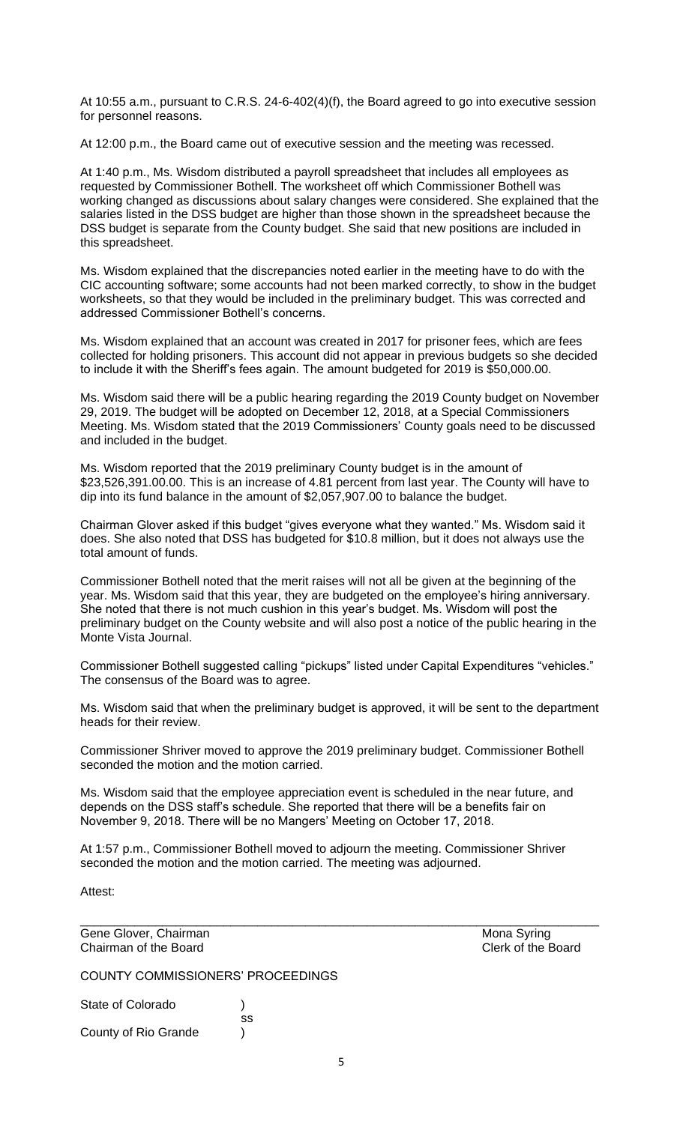At 10:55 a.m., pursuant to C.R.S. 24-6-402(4)(f), the Board agreed to go into executive session for personnel reasons.

At 12:00 p.m., the Board came out of executive session and the meeting was recessed.

At 1:40 p.m., Ms. Wisdom distributed a payroll spreadsheet that includes all employees as requested by Commissioner Bothell. The worksheet off which Commissioner Bothell was working changed as discussions about salary changes were considered. She explained that the salaries listed in the DSS budget are higher than those shown in the spreadsheet because the DSS budget is separate from the County budget. She said that new positions are included in this spreadsheet.

Ms. Wisdom explained that the discrepancies noted earlier in the meeting have to do with the CIC accounting software; some accounts had not been marked correctly, to show in the budget worksheets, so that they would be included in the preliminary budget. This was corrected and addressed Commissioner Bothell's concerns.

Ms. Wisdom explained that an account was created in 2017 for prisoner fees, which are fees collected for holding prisoners. This account did not appear in previous budgets so she decided to include it with the Sheriff's fees again. The amount budgeted for 2019 is \$50,000.00.

Ms. Wisdom said there will be a public hearing regarding the 2019 County budget on November 29, 2019. The budget will be adopted on December 12, 2018, at a Special Commissioners Meeting. Ms. Wisdom stated that the 2019 Commissioners' County goals need to be discussed and included in the budget.

Ms. Wisdom reported that the 2019 preliminary County budget is in the amount of \$23,526,391.00.00. This is an increase of 4.81 percent from last year. The County will have to dip into its fund balance in the amount of \$2,057,907.00 to balance the budget.

Chairman Glover asked if this budget "gives everyone what they wanted." Ms. Wisdom said it does. She also noted that DSS has budgeted for \$10.8 million, but it does not always use the total amount of funds.

Commissioner Bothell noted that the merit raises will not all be given at the beginning of the year. Ms. Wisdom said that this year, they are budgeted on the employee's hiring anniversary. She noted that there is not much cushion in this year's budget. Ms. Wisdom will post the preliminary budget on the County website and will also post a notice of the public hearing in the Monte Vista Journal.

Commissioner Bothell suggested calling "pickups" listed under Capital Expenditures "vehicles." The consensus of the Board was to agree.

Ms. Wisdom said that when the preliminary budget is approved, it will be sent to the department heads for their review.

Commissioner Shriver moved to approve the 2019 preliminary budget. Commissioner Bothell seconded the motion and the motion carried.

Ms. Wisdom said that the employee appreciation event is scheduled in the near future, and depends on the DSS staff's schedule. She reported that there will be a benefits fair on November 9, 2018. There will be no Mangers' Meeting on October 17, 2018.

At 1:57 p.m., Commissioner Bothell moved to adjourn the meeting. Commissioner Shriver seconded the motion and the motion carried. The meeting was adjourned.

\_\_\_\_\_\_\_\_\_\_\_\_\_\_\_\_\_\_\_\_\_\_\_\_\_\_\_\_\_\_\_\_\_\_\_\_\_\_\_\_\_\_\_\_\_\_\_\_\_\_\_\_\_\_\_\_\_\_\_\_\_\_\_\_\_\_\_\_\_\_\_\_\_\_\_\_

Attest:

Gene Glover, Chairman Mona Syring Chairman of the Board Chairman of the Board

COUNTY COMMISSIONERS' PROCEEDINGS

ss

State of Colorado (a)

County of Rio Grande )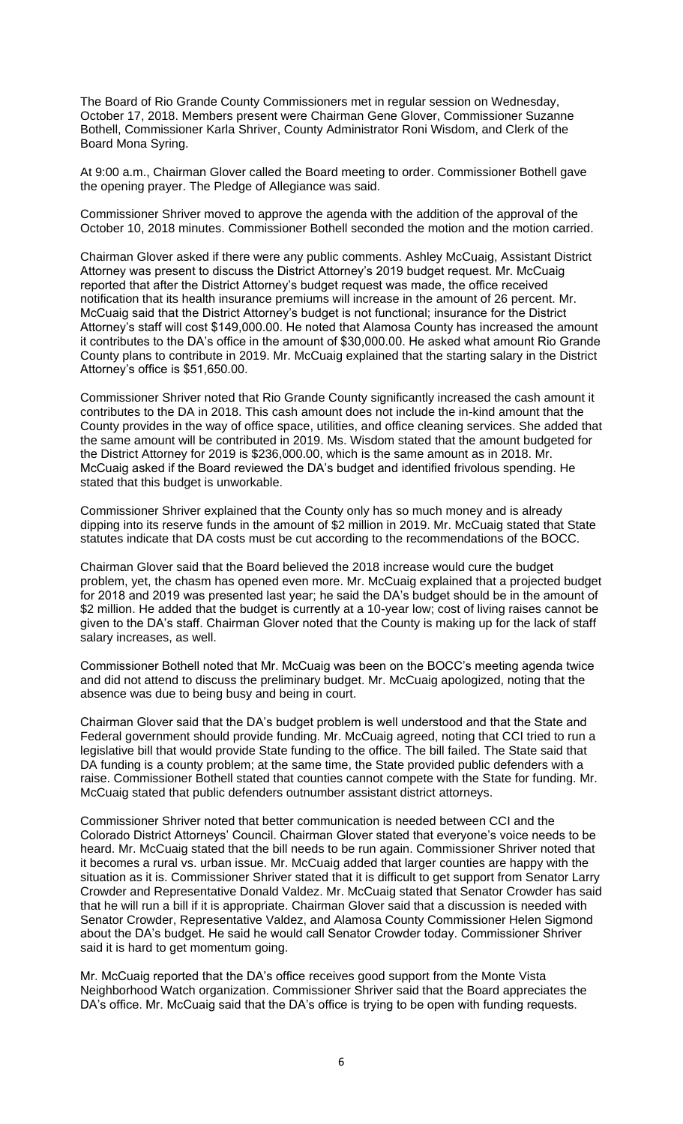The Board of Rio Grande County Commissioners met in regular session on Wednesday, October 17, 2018. Members present were Chairman Gene Glover, Commissioner Suzanne Bothell, Commissioner Karla Shriver, County Administrator Roni Wisdom, and Clerk of the Board Mona Syring.

At 9:00 a.m., Chairman Glover called the Board meeting to order. Commissioner Bothell gave the opening prayer. The Pledge of Allegiance was said.

Commissioner Shriver moved to approve the agenda with the addition of the approval of the October 10, 2018 minutes. Commissioner Bothell seconded the motion and the motion carried.

Chairman Glover asked if there were any public comments. Ashley McCuaig, Assistant District Attorney was present to discuss the District Attorney's 2019 budget request. Mr. McCuaig reported that after the District Attorney's budget request was made, the office received notification that its health insurance premiums will increase in the amount of 26 percent. Mr. McCuaig said that the District Attorney's budget is not functional; insurance for the District Attorney's staff will cost \$149,000.00. He noted that Alamosa County has increased the amount it contributes to the DA's office in the amount of \$30,000.00. He asked what amount Rio Grande County plans to contribute in 2019. Mr. McCuaig explained that the starting salary in the District Attorney's office is \$51,650.00.

Commissioner Shriver noted that Rio Grande County significantly increased the cash amount it contributes to the DA in 2018. This cash amount does not include the in-kind amount that the County provides in the way of office space, utilities, and office cleaning services. She added that the same amount will be contributed in 2019. Ms. Wisdom stated that the amount budgeted for the District Attorney for 2019 is \$236,000.00, which is the same amount as in 2018. Mr. McCuaig asked if the Board reviewed the DA's budget and identified frivolous spending. He stated that this budget is unworkable.

Commissioner Shriver explained that the County only has so much money and is already dipping into its reserve funds in the amount of \$2 million in 2019. Mr. McCuaig stated that State statutes indicate that DA costs must be cut according to the recommendations of the BOCC.

Chairman Glover said that the Board believed the 2018 increase would cure the budget problem, yet, the chasm has opened even more. Mr. McCuaig explained that a projected budget for 2018 and 2019 was presented last year; he said the DA's budget should be in the amount of \$2 million. He added that the budget is currently at a 10-year low; cost of living raises cannot be given to the DA's staff. Chairman Glover noted that the County is making up for the lack of staff salary increases, as well.

Commissioner Bothell noted that Mr. McCuaig was been on the BOCC's meeting agenda twice and did not attend to discuss the preliminary budget. Mr. McCuaig apologized, noting that the absence was due to being busy and being in court.

Chairman Glover said that the DA's budget problem is well understood and that the State and Federal government should provide funding. Mr. McCuaig agreed, noting that CCI tried to run a legislative bill that would provide State funding to the office. The bill failed. The State said that DA funding is a county problem; at the same time, the State provided public defenders with a raise. Commissioner Bothell stated that counties cannot compete with the State for funding. Mr. McCuaig stated that public defenders outnumber assistant district attorneys.

Commissioner Shriver noted that better communication is needed between CCI and the Colorado District Attorneys' Council. Chairman Glover stated that everyone's voice needs to be heard. Mr. McCuaig stated that the bill needs to be run again. Commissioner Shriver noted that it becomes a rural vs. urban issue. Mr. McCuaig added that larger counties are happy with the situation as it is. Commissioner Shriver stated that it is difficult to get support from Senator Larry Crowder and Representative Donald Valdez. Mr. McCuaig stated that Senator Crowder has said that he will run a bill if it is appropriate. Chairman Glover said that a discussion is needed with Senator Crowder, Representative Valdez, and Alamosa County Commissioner Helen Sigmond about the DA's budget. He said he would call Senator Crowder today. Commissioner Shriver said it is hard to get momentum going.

Mr. McCuaig reported that the DA's office receives good support from the Monte Vista Neighborhood Watch organization. Commissioner Shriver said that the Board appreciates the DA's office. Mr. McCuaig said that the DA's office is trying to be open with funding requests.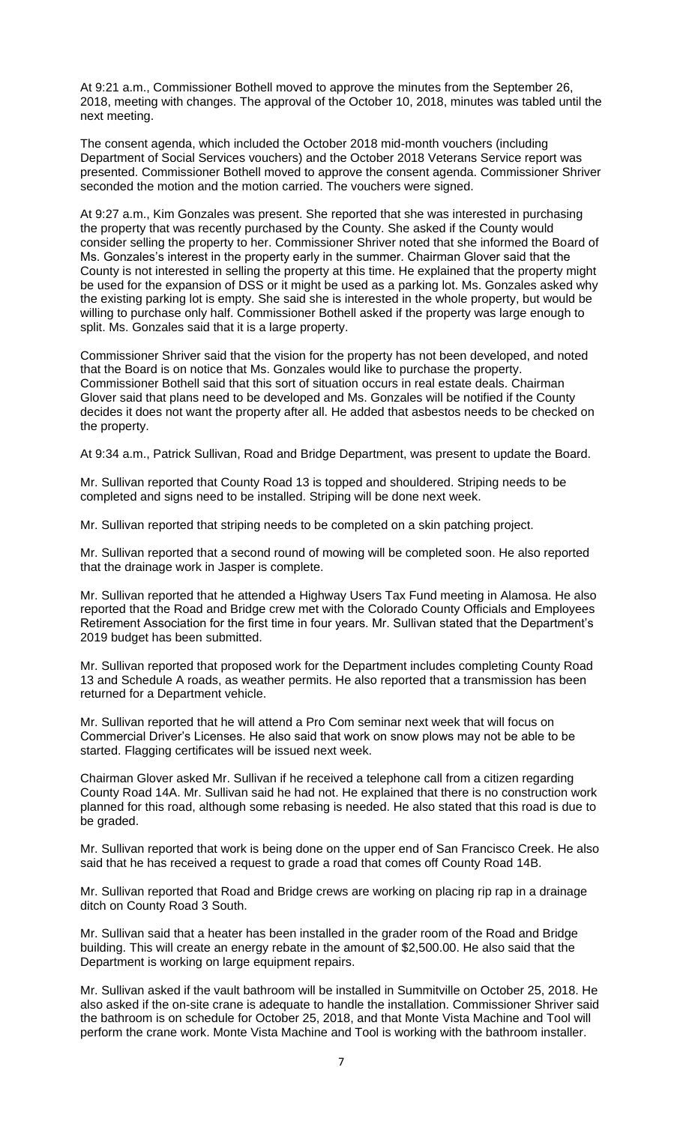At 9:21 a.m., Commissioner Bothell moved to approve the minutes from the September 26, 2018, meeting with changes. The approval of the October 10, 2018, minutes was tabled until the next meeting.

The consent agenda, which included the October 2018 mid-month vouchers (including Department of Social Services vouchers) and the October 2018 Veterans Service report was presented. Commissioner Bothell moved to approve the consent agenda. Commissioner Shriver seconded the motion and the motion carried. The vouchers were signed.

At 9:27 a.m., Kim Gonzales was present. She reported that she was interested in purchasing the property that was recently purchased by the County. She asked if the County would consider selling the property to her. Commissioner Shriver noted that she informed the Board of Ms. Gonzales's interest in the property early in the summer. Chairman Glover said that the County is not interested in selling the property at this time. He explained that the property might be used for the expansion of DSS or it might be used as a parking lot. Ms. Gonzales asked why the existing parking lot is empty. She said she is interested in the whole property, but would be willing to purchase only half. Commissioner Bothell asked if the property was large enough to split. Ms. Gonzales said that it is a large property.

Commissioner Shriver said that the vision for the property has not been developed, and noted that the Board is on notice that Ms. Gonzales would like to purchase the property. Commissioner Bothell said that this sort of situation occurs in real estate deals. Chairman Glover said that plans need to be developed and Ms. Gonzales will be notified if the County decides it does not want the property after all. He added that asbestos needs to be checked on the property.

At 9:34 a.m., Patrick Sullivan, Road and Bridge Department, was present to update the Board.

Mr. Sullivan reported that County Road 13 is topped and shouldered. Striping needs to be completed and signs need to be installed. Striping will be done next week.

Mr. Sullivan reported that striping needs to be completed on a skin patching project.

Mr. Sullivan reported that a second round of mowing will be completed soon. He also reported that the drainage work in Jasper is complete.

Mr. Sullivan reported that he attended a Highway Users Tax Fund meeting in Alamosa. He also reported that the Road and Bridge crew met with the Colorado County Officials and Employees Retirement Association for the first time in four years. Mr. Sullivan stated that the Department's 2019 budget has been submitted.

Mr. Sullivan reported that proposed work for the Department includes completing County Road 13 and Schedule A roads, as weather permits. He also reported that a transmission has been returned for a Department vehicle.

Mr. Sullivan reported that he will attend a Pro Com seminar next week that will focus on Commercial Driver's Licenses. He also said that work on snow plows may not be able to be started. Flagging certificates will be issued next week.

Chairman Glover asked Mr. Sullivan if he received a telephone call from a citizen regarding County Road 14A. Mr. Sullivan said he had not. He explained that there is no construction work planned for this road, although some rebasing is needed. He also stated that this road is due to be graded.

Mr. Sullivan reported that work is being done on the upper end of San Francisco Creek. He also said that he has received a request to grade a road that comes off County Road 14B.

Mr. Sullivan reported that Road and Bridge crews are working on placing rip rap in a drainage ditch on County Road 3 South.

Mr. Sullivan said that a heater has been installed in the grader room of the Road and Bridge building. This will create an energy rebate in the amount of \$2,500.00. He also said that the Department is working on large equipment repairs.

Mr. Sullivan asked if the vault bathroom will be installed in Summitville on October 25, 2018. He also asked if the on-site crane is adequate to handle the installation. Commissioner Shriver said the bathroom is on schedule for October 25, 2018, and that Monte Vista Machine and Tool will perform the crane work. Monte Vista Machine and Tool is working with the bathroom installer.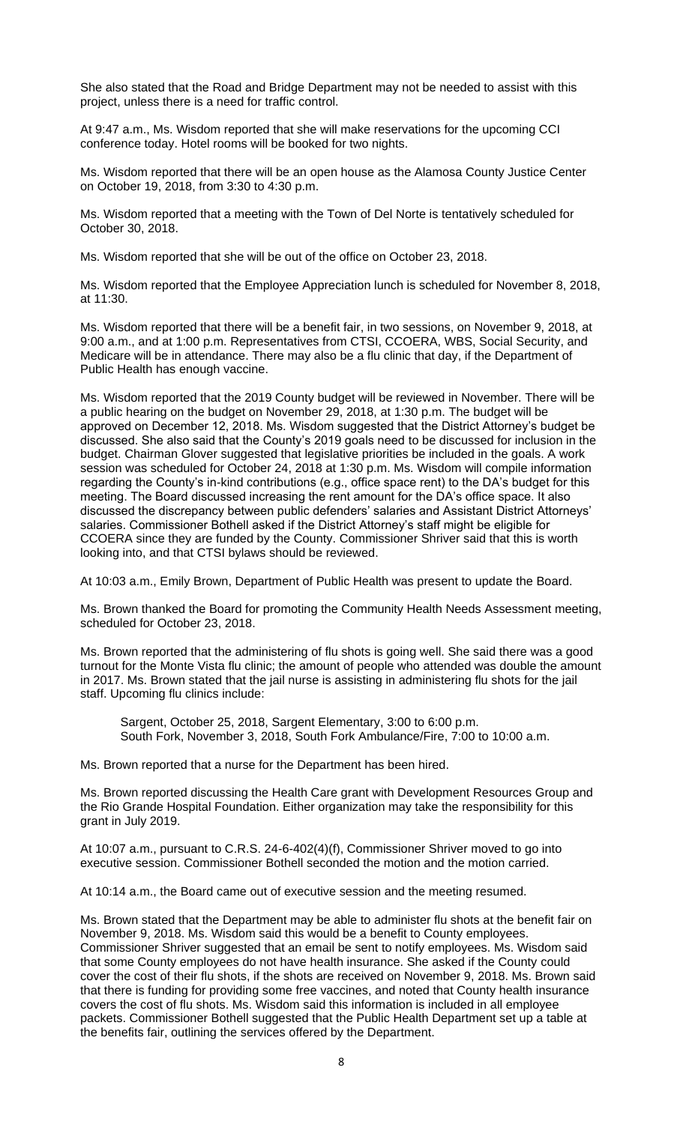She also stated that the Road and Bridge Department may not be needed to assist with this project, unless there is a need for traffic control.

At 9:47 a.m., Ms. Wisdom reported that she will make reservations for the upcoming CCI conference today. Hotel rooms will be booked for two nights.

Ms. Wisdom reported that there will be an open house as the Alamosa County Justice Center on October 19, 2018, from 3:30 to 4:30 p.m.

Ms. Wisdom reported that a meeting with the Town of Del Norte is tentatively scheduled for October 30, 2018.

Ms. Wisdom reported that she will be out of the office on October 23, 2018.

Ms. Wisdom reported that the Employee Appreciation lunch is scheduled for November 8, 2018, at 11:30.

Ms. Wisdom reported that there will be a benefit fair, in two sessions, on November 9, 2018, at 9:00 a.m., and at 1:00 p.m. Representatives from CTSI, CCOERA, WBS, Social Security, and Medicare will be in attendance. There may also be a flu clinic that day, if the Department of Public Health has enough vaccine.

Ms. Wisdom reported that the 2019 County budget will be reviewed in November. There will be a public hearing on the budget on November 29, 2018, at 1:30 p.m. The budget will be approved on December 12, 2018. Ms. Wisdom suggested that the District Attorney's budget be discussed. She also said that the County's 2019 goals need to be discussed for inclusion in the budget. Chairman Glover suggested that legislative priorities be included in the goals. A work session was scheduled for October 24, 2018 at 1:30 p.m. Ms. Wisdom will compile information regarding the County's in-kind contributions (e.g., office space rent) to the DA's budget for this meeting. The Board discussed increasing the rent amount for the DA's office space. It also discussed the discrepancy between public defenders' salaries and Assistant District Attorneys' salaries. Commissioner Bothell asked if the District Attorney's staff might be eligible for CCOERA since they are funded by the County. Commissioner Shriver said that this is worth looking into, and that CTSI bylaws should be reviewed.

At 10:03 a.m., Emily Brown, Department of Public Health was present to update the Board.

Ms. Brown thanked the Board for promoting the Community Health Needs Assessment meeting, scheduled for October 23, 2018.

Ms. Brown reported that the administering of flu shots is going well. She said there was a good turnout for the Monte Vista flu clinic; the amount of people who attended was double the amount in 2017. Ms. Brown stated that the jail nurse is assisting in administering flu shots for the jail staff. Upcoming flu clinics include:

Sargent, October 25, 2018, Sargent Elementary, 3:00 to 6:00 p.m. South Fork, November 3, 2018, South Fork Ambulance/Fire, 7:00 to 10:00 a.m.

Ms. Brown reported that a nurse for the Department has been hired.

Ms. Brown reported discussing the Health Care grant with Development Resources Group and the Rio Grande Hospital Foundation. Either organization may take the responsibility for this grant in July 2019.

At 10:07 a.m., pursuant to C.R.S. 24-6-402(4)(f), Commissioner Shriver moved to go into executive session. Commissioner Bothell seconded the motion and the motion carried.

At 10:14 a.m., the Board came out of executive session and the meeting resumed.

Ms. Brown stated that the Department may be able to administer flu shots at the benefit fair on November 9, 2018. Ms. Wisdom said this would be a benefit to County employees. Commissioner Shriver suggested that an email be sent to notify employees. Ms. Wisdom said that some County employees do not have health insurance. She asked if the County could cover the cost of their flu shots, if the shots are received on November 9, 2018. Ms. Brown said that there is funding for providing some free vaccines, and noted that County health insurance covers the cost of flu shots. Ms. Wisdom said this information is included in all employee packets. Commissioner Bothell suggested that the Public Health Department set up a table at the benefits fair, outlining the services offered by the Department.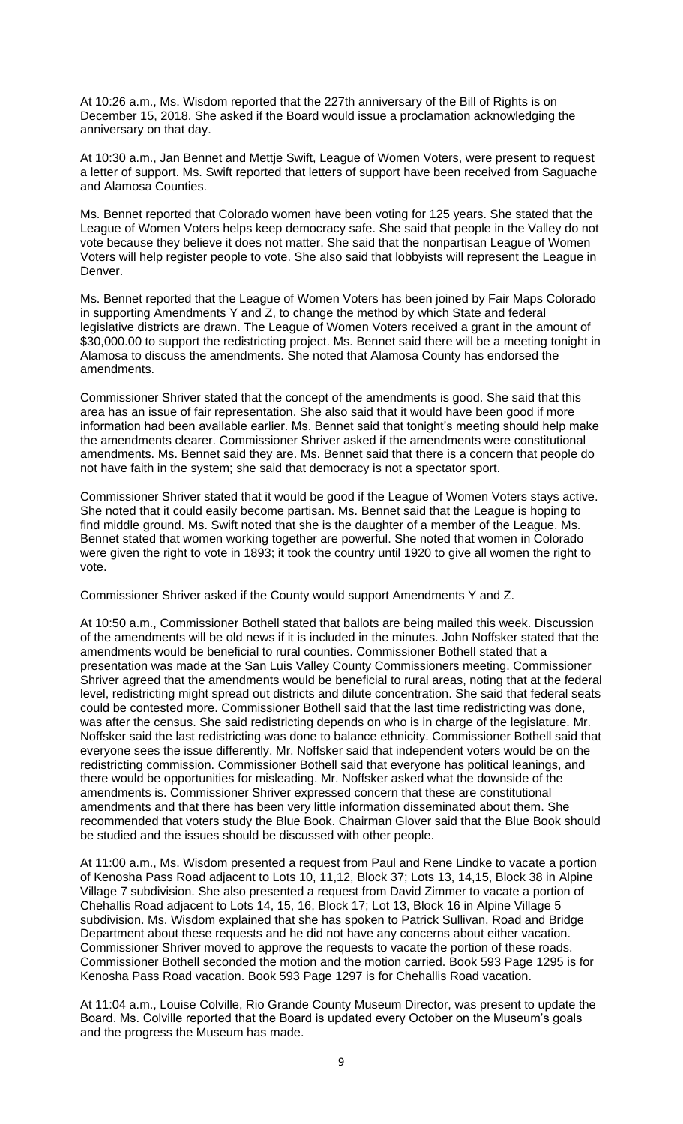At 10:26 a.m., Ms. Wisdom reported that the 227th anniversary of the Bill of Rights is on December 15, 2018. She asked if the Board would issue a proclamation acknowledging the anniversary on that day.

At 10:30 a.m., Jan Bennet and Mettie Swift, League of Women Voters, were present to request a letter of support. Ms. Swift reported that letters of support have been received from Saguache and Alamosa Counties.

Ms. Bennet reported that Colorado women have been voting for 125 years. She stated that the League of Women Voters helps keep democracy safe. She said that people in the Valley do not vote because they believe it does not matter. She said that the nonpartisan League of Women Voters will help register people to vote. She also said that lobbyists will represent the League in Denver.

Ms. Bennet reported that the League of Women Voters has been joined by Fair Maps Colorado in supporting Amendments Y and Z, to change the method by which State and federal legislative districts are drawn. The League of Women Voters received a grant in the amount of \$30,000.00 to support the redistricting project. Ms. Bennet said there will be a meeting tonight in Alamosa to discuss the amendments. She noted that Alamosa County has endorsed the amendments.

Commissioner Shriver stated that the concept of the amendments is good. She said that this area has an issue of fair representation. She also said that it would have been good if more information had been available earlier. Ms. Bennet said that tonight's meeting should help make the amendments clearer. Commissioner Shriver asked if the amendments were constitutional amendments. Ms. Bennet said they are. Ms. Bennet said that there is a concern that people do not have faith in the system; she said that democracy is not a spectator sport.

Commissioner Shriver stated that it would be good if the League of Women Voters stays active. She noted that it could easily become partisan. Ms. Bennet said that the League is hoping to find middle ground. Ms. Swift noted that she is the daughter of a member of the League. Ms. Bennet stated that women working together are powerful. She noted that women in Colorado were given the right to vote in 1893; it took the country until 1920 to give all women the right to vote.

Commissioner Shriver asked if the County would support Amendments Y and Z.

At 10:50 a.m., Commissioner Bothell stated that ballots are being mailed this week. Discussion of the amendments will be old news if it is included in the minutes. John Noffsker stated that the amendments would be beneficial to rural counties. Commissioner Bothell stated that a presentation was made at the San Luis Valley County Commissioners meeting. Commissioner Shriver agreed that the amendments would be beneficial to rural areas, noting that at the federal level, redistricting might spread out districts and dilute concentration. She said that federal seats could be contested more. Commissioner Bothell said that the last time redistricting was done, was after the census. She said redistricting depends on who is in charge of the legislature. Mr. Noffsker said the last redistricting was done to balance ethnicity. Commissioner Bothell said that everyone sees the issue differently. Mr. Noffsker said that independent voters would be on the redistricting commission. Commissioner Bothell said that everyone has political leanings, and there would be opportunities for misleading. Mr. Noffsker asked what the downside of the amendments is. Commissioner Shriver expressed concern that these are constitutional amendments and that there has been very little information disseminated about them. She recommended that voters study the Blue Book. Chairman Glover said that the Blue Book should be studied and the issues should be discussed with other people.

At 11:00 a.m., Ms. Wisdom presented a request from Paul and Rene Lindke to vacate a portion of Kenosha Pass Road adjacent to Lots 10, 11,12, Block 37; Lots 13, 14,15, Block 38 in Alpine Village 7 subdivision. She also presented a request from David Zimmer to vacate a portion of Chehallis Road adjacent to Lots 14, 15, 16, Block 17; Lot 13, Block 16 in Alpine Village 5 subdivision. Ms. Wisdom explained that she has spoken to Patrick Sullivan, Road and Bridge Department about these requests and he did not have any concerns about either vacation. Commissioner Shriver moved to approve the requests to vacate the portion of these roads. Commissioner Bothell seconded the motion and the motion carried. Book 593 Page 1295 is for Kenosha Pass Road vacation. Book 593 Page 1297 is for Chehallis Road vacation.

At 11:04 a.m., Louise Colville, Rio Grande County Museum Director, was present to update the Board. Ms. Colville reported that the Board is updated every October on the Museum's goals and the progress the Museum has made.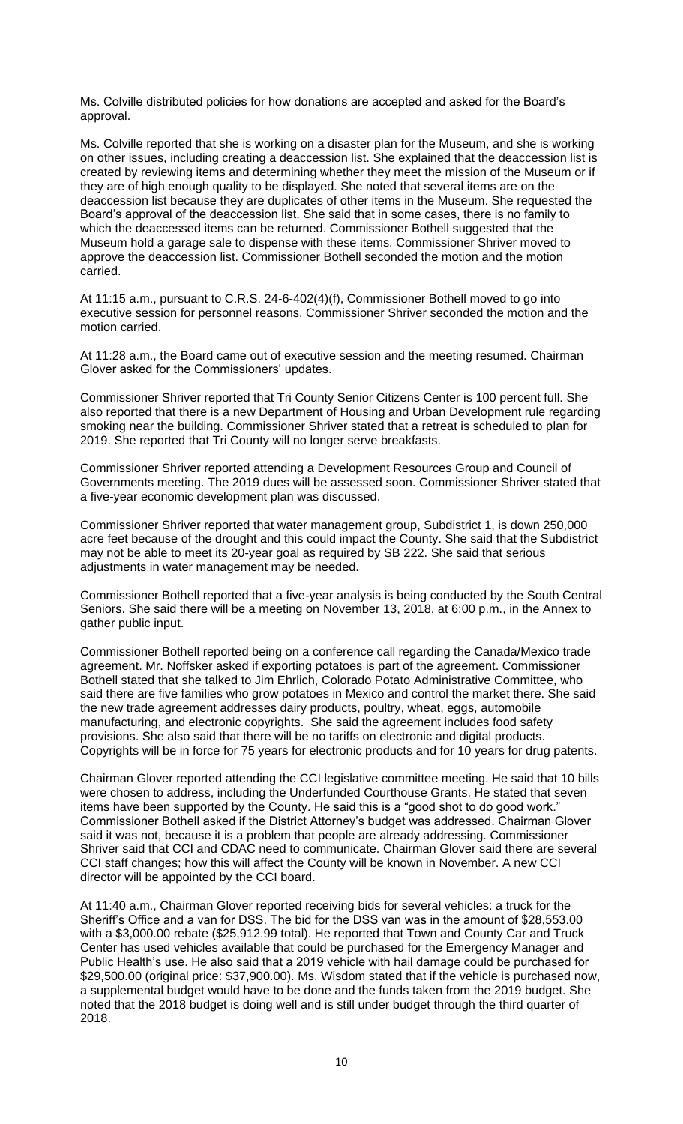Ms. Colville distributed policies for how donations are accepted and asked for the Board's approval.

Ms. Colville reported that she is working on a disaster plan for the Museum, and she is working on other issues, including creating a deaccession list. She explained that the deaccession list is created by reviewing items and determining whether they meet the mission of the Museum or if they are of high enough quality to be displayed. She noted that several items are on the deaccession list because they are duplicates of other items in the Museum. She requested the Board's approval of the deaccession list. She said that in some cases, there is no family to which the deaccessed items can be returned. Commissioner Bothell suggested that the Museum hold a garage sale to dispense with these items. Commissioner Shriver moved to approve the deaccession list. Commissioner Bothell seconded the motion and the motion carried.

At 11:15 a.m., pursuant to C.R.S. 24-6-402(4)(f), Commissioner Bothell moved to go into executive session for personnel reasons. Commissioner Shriver seconded the motion and the motion carried.

At 11:28 a.m., the Board came out of executive session and the meeting resumed. Chairman Glover asked for the Commissioners' updates.

Commissioner Shriver reported that Tri County Senior Citizens Center is 100 percent full. She also reported that there is a new Department of Housing and Urban Development rule regarding smoking near the building. Commissioner Shriver stated that a retreat is scheduled to plan for 2019. She reported that Tri County will no longer serve breakfasts.

Commissioner Shriver reported attending a Development Resources Group and Council of Governments meeting. The 2019 dues will be assessed soon. Commissioner Shriver stated that a five-year economic development plan was discussed.

Commissioner Shriver reported that water management group, Subdistrict 1, is down 250,000 acre feet because of the drought and this could impact the County. She said that the Subdistrict may not be able to meet its 20-year goal as required by SB 222. She said that serious adjustments in water management may be needed.

Commissioner Bothell reported that a five-year analysis is being conducted by the South Central Seniors. She said there will be a meeting on November 13, 2018, at 6:00 p.m., in the Annex to gather public input.

Commissioner Bothell reported being on a conference call regarding the Canada/Mexico trade agreement. Mr. Noffsker asked if exporting potatoes is part of the agreement. Commissioner Bothell stated that she talked to Jim Ehrlich, Colorado Potato Administrative Committee, who said there are five families who grow potatoes in Mexico and control the market there. She said the new trade agreement addresses dairy products, poultry, wheat, eggs, automobile manufacturing, and electronic copyrights. She said the agreement includes food safety provisions. She also said that there will be no tariffs on electronic and digital products. Copyrights will be in force for 75 years for electronic products and for 10 years for drug patents.

Chairman Glover reported attending the CCI legislative committee meeting. He said that 10 bills were chosen to address, including the Underfunded Courthouse Grants. He stated that seven items have been supported by the County. He said this is a "good shot to do good work." Commissioner Bothell asked if the District Attorney's budget was addressed. Chairman Glover said it was not, because it is a problem that people are already addressing. Commissioner Shriver said that CCI and CDAC need to communicate. Chairman Glover said there are several CCI staff changes; how this will affect the County will be known in November. A new CCI director will be appointed by the CCI board.

At 11:40 a.m., Chairman Glover reported receiving bids for several vehicles: a truck for the Sheriff's Office and a van for DSS. The bid for the DSS van was in the amount of \$28,553.00 with a \$3,000.00 rebate (\$25,912.99 total). He reported that Town and County Car and Truck Center has used vehicles available that could be purchased for the Emergency Manager and Public Health's use. He also said that a 2019 vehicle with hail damage could be purchased for \$29,500.00 (original price: \$37,900.00). Ms. Wisdom stated that if the vehicle is purchased now, a supplemental budget would have to be done and the funds taken from the 2019 budget. She noted that the 2018 budget is doing well and is still under budget through the third quarter of 2018.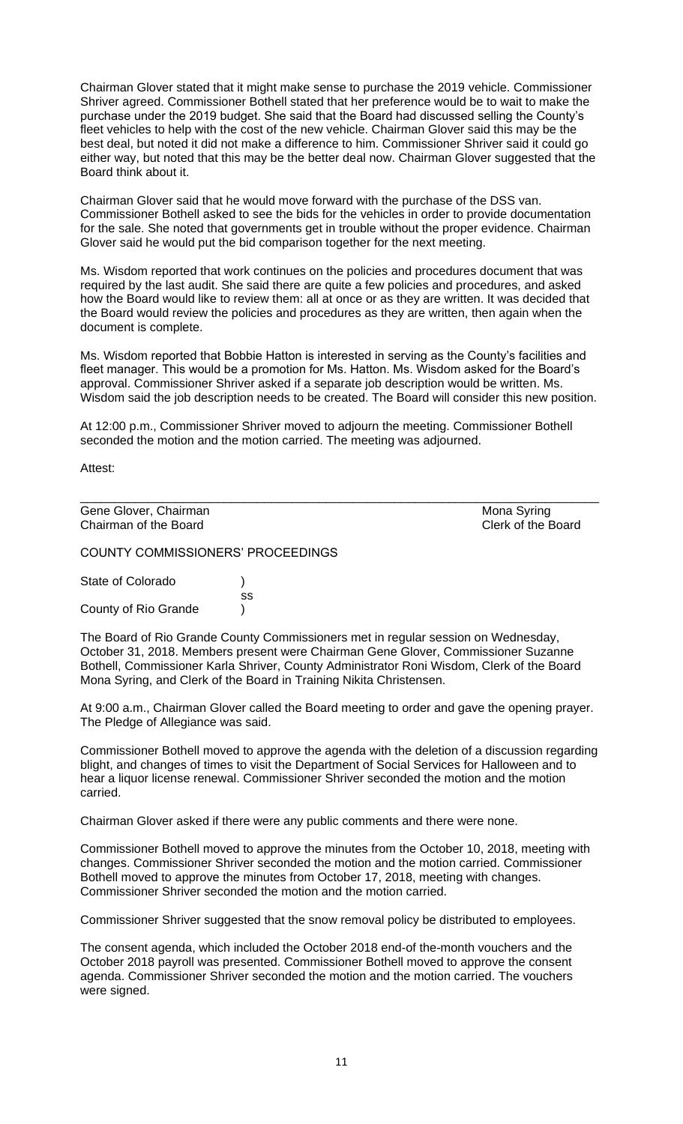Chairman Glover stated that it might make sense to purchase the 2019 vehicle. Commissioner Shriver agreed. Commissioner Bothell stated that her preference would be to wait to make the purchase under the 2019 budget. She said that the Board had discussed selling the County's fleet vehicles to help with the cost of the new vehicle. Chairman Glover said this may be the best deal, but noted it did not make a difference to him. Commissioner Shriver said it could go either way, but noted that this may be the better deal now. Chairman Glover suggested that the Board think about it.

Chairman Glover said that he would move forward with the purchase of the DSS van. Commissioner Bothell asked to see the bids for the vehicles in order to provide documentation for the sale. She noted that governments get in trouble without the proper evidence. Chairman Glover said he would put the bid comparison together for the next meeting.

Ms. Wisdom reported that work continues on the policies and procedures document that was required by the last audit. She said there are quite a few policies and procedures, and asked how the Board would like to review them: all at once or as they are written. It was decided that the Board would review the policies and procedures as they are written, then again when the document is complete.

Ms. Wisdom reported that Bobbie Hatton is interested in serving as the County's facilities and fleet manager. This would be a promotion for Ms. Hatton. Ms. Wisdom asked for the Board's approval. Commissioner Shriver asked if a separate job description would be written. Ms. Wisdom said the job description needs to be created. The Board will consider this new position.

At 12:00 p.m., Commissioner Shriver moved to adjourn the meeting. Commissioner Bothell seconded the motion and the motion carried. The meeting was adjourned.

\_\_\_\_\_\_\_\_\_\_\_\_\_\_\_\_\_\_\_\_\_\_\_\_\_\_\_\_\_\_\_\_\_\_\_\_\_\_\_\_\_\_\_\_\_\_\_\_\_\_\_\_\_\_\_\_\_\_\_\_\_\_\_\_\_\_\_\_\_\_\_\_\_\_\_\_

Attest:

Gene Glover, Chairman Mona Syring Chairman of the Board Clerk of the Board

COUNTY COMMISSIONERS' PROCEEDINGS

State of Colorado (a) ss County of Rio Grande )

The Board of Rio Grande County Commissioners met in regular session on Wednesday, October 31, 2018. Members present were Chairman Gene Glover, Commissioner Suzanne Bothell, Commissioner Karla Shriver, County Administrator Roni Wisdom, Clerk of the Board Mona Syring, and Clerk of the Board in Training Nikita Christensen.

At 9:00 a.m., Chairman Glover called the Board meeting to order and gave the opening prayer. The Pledge of Allegiance was said.

Commissioner Bothell moved to approve the agenda with the deletion of a discussion regarding blight, and changes of times to visit the Department of Social Services for Halloween and to hear a liquor license renewal. Commissioner Shriver seconded the motion and the motion carried.

Chairman Glover asked if there were any public comments and there were none.

Commissioner Bothell moved to approve the minutes from the October 10, 2018, meeting with changes. Commissioner Shriver seconded the motion and the motion carried. Commissioner Bothell moved to approve the minutes from October 17, 2018, meeting with changes. Commissioner Shriver seconded the motion and the motion carried.

Commissioner Shriver suggested that the snow removal policy be distributed to employees.

The consent agenda, which included the October 2018 end-of the-month vouchers and the October 2018 payroll was presented. Commissioner Bothell moved to approve the consent agenda. Commissioner Shriver seconded the motion and the motion carried. The vouchers were signed.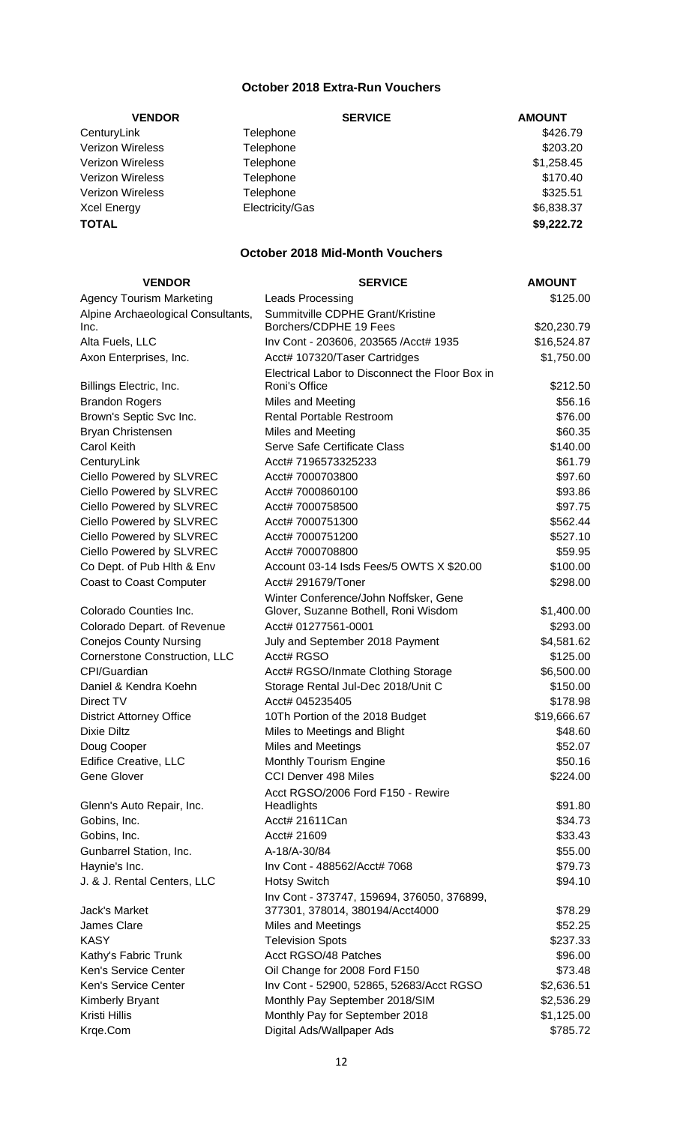# **October 2018 Extra-Run Vouchers**

| <b>VENDOR</b>           | <b>SERVICE</b>  | <b>AMOUNT</b> |
|-------------------------|-----------------|---------------|
| CenturyLink             | Telephone       | \$426.79      |
| Verizon Wireless        | Telephone       | \$203.20      |
| <b>Verizon Wireless</b> | Telephone       | \$1,258.45    |
| Verizon Wireless        | Telephone       | \$170.40      |
| <b>Verizon Wireless</b> | Telephone       | \$325.51      |
| <b>Xcel Energy</b>      | Electricity/Gas | \$6,838.37    |
| <b>TOTAL</b>            |                 | \$9,222.72    |

## **October 2018 Mid-Month Vouchers**

| <b>VENDOR</b>                      | <b>SERVICE</b>                                  | <b>AMOUNT</b> |
|------------------------------------|-------------------------------------------------|---------------|
| <b>Agency Tourism Marketing</b>    | Leads Processing                                | \$125.00      |
| Alpine Archaeological Consultants, | Summitville CDPHE Grant/Kristine                |               |
| Inc.                               | Borchers/CDPHE 19 Fees                          | \$20,230.79   |
| Alta Fuels, LLC                    | Inv Cont - 203606, 203565 / Acct# 1935          | \$16,524.87   |
| Axon Enterprises, Inc.             | Acct# 107320/Taser Cartridges                   | \$1,750.00    |
|                                    | Electrical Labor to Disconnect the Floor Box in |               |
| Billings Electric, Inc.            | Roni's Office                                   | \$212.50      |
| <b>Brandon Rogers</b>              | Miles and Meeting                               | \$56.16       |
| Brown's Septic Svc Inc.            | <b>Rental Portable Restroom</b>                 | \$76.00       |
| Bryan Christensen                  | Miles and Meeting                               | \$60.35       |
| Carol Keith                        | Serve Safe Certificate Class                    | \$140.00      |
| CenturyLink                        | Acct# 7196573325233                             | \$61.79       |
| Ciello Powered by SLVREC           | Acct# 7000703800                                | \$97.60       |
| Ciello Powered by SLVREC           | Acct# 7000860100                                | \$93.86       |
| Ciello Powered by SLVREC           | Acct# 7000758500                                | \$97.75       |
| Ciello Powered by SLVREC           | Acct# 7000751300                                | \$562.44      |
| Ciello Powered by SLVREC           | Acct# 7000751200                                | \$527.10      |
| Ciello Powered by SLVREC           | Acct# 7000708800                                | \$59.95       |
| Co Dept. of Pub Hlth & Env         | Account 03-14 Isds Fees/5 OWTS X \$20.00        | \$100.00      |
| <b>Coast to Coast Computer</b>     | Acct# 291679/Toner                              | \$298.00      |
|                                    | Winter Conference/John Noffsker, Gene           |               |
| Colorado Counties Inc.             | Glover, Suzanne Bothell, Roni Wisdom            | \$1,400.00    |
| Colorado Depart. of Revenue        | Acct# 01277561-0001                             | \$293.00      |
| <b>Conejos County Nursing</b>      | July and September 2018 Payment                 | \$4,581.62    |
| Cornerstone Construction, LLC      | Acct# RGSO                                      | \$125.00      |
| CPI/Guardian                       | Acct# RGSO/Inmate Clothing Storage              | \$6,500.00    |
| Daniel & Kendra Koehn              | Storage Rental Jul-Dec 2018/Unit C              | \$150.00      |
| Direct TV                          | Acct# 045235405                                 | \$178.98      |
| <b>District Attorney Office</b>    | 10Th Portion of the 2018 Budget                 | \$19,666.67   |
| <b>Dixie Diltz</b>                 | Miles to Meetings and Blight                    | \$48.60       |
| Doug Cooper                        | <b>Miles and Meetings</b>                       | \$52.07       |
| <b>Edifice Creative, LLC</b>       | Monthly Tourism Engine                          | \$50.16       |
| Gene Glover                        | CCI Denver 498 Miles                            | \$224.00      |
|                                    | Acct RGSO/2006 Ford F150 - Rewire               |               |
| Glenn's Auto Repair, Inc.          | Headlights                                      | \$91.80       |
| Gobins, Inc.                       | Acct# 21611Can                                  | \$34.73       |
| Gobins, Inc.                       | Acct# 21609                                     | \$33.43       |
| Gunbarrel Station, Inc.            | A-18/A-30/84                                    | \$55.00       |
| Haynie's Inc.                      | Inv Cont - 488562/Acct# 7068                    | \$79.73       |
| J. & J. Rental Centers, LLC        | <b>Hotsy Switch</b>                             | \$94.10       |
|                                    | Inv Cont - 373747, 159694, 376050, 376899,      |               |
| Jack's Market                      | 377301, 378014, 380194/Acct4000                 | \$78.29       |
| James Clare                        | <b>Miles and Meetings</b>                       | \$52.25       |
| <b>KASY</b>                        | <b>Television Spots</b>                         | \$237.33      |
| Kathy's Fabric Trunk               | Acct RGSO/48 Patches                            | \$96.00       |
| Ken's Service Center               | Oil Change for 2008 Ford F150                   | \$73.48       |
| Ken's Service Center               | Inv Cont - 52900, 52865, 52683/Acct RGSO        | \$2,636.51    |
| <b>Kimberly Bryant</b>             | Monthly Pay September 2018/SIM                  | \$2,536.29    |
| Kristi Hillis                      | Monthly Pay for September 2018                  | \$1,125.00    |
| Krge.Com                           | Digital Ads/Wallpaper Ads                       | \$785.72      |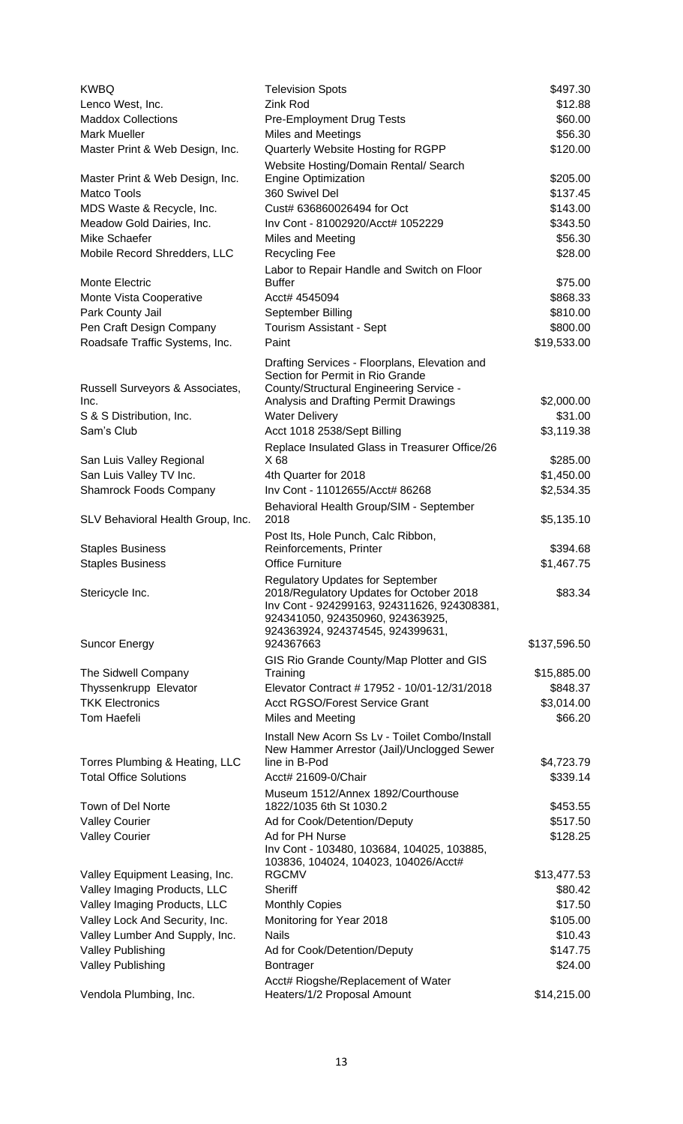| <b>KWBQ</b><br>Lenco West, Inc.         | <b>Television Spots</b><br>Zink Rod                                                                                                | \$497.30<br>\$12.88 |
|-----------------------------------------|------------------------------------------------------------------------------------------------------------------------------------|---------------------|
| <b>Maddox Collections</b>               | Pre-Employment Drug Tests                                                                                                          | \$60.00             |
| <b>Mark Mueller</b>                     | <b>Miles and Meetings</b>                                                                                                          | \$56.30             |
| Master Print & Web Design, Inc.         | Quarterly Website Hosting for RGPP                                                                                                 | \$120.00            |
|                                         | Website Hosting/Domain Rental/ Search                                                                                              |                     |
| Master Print & Web Design, Inc.         | <b>Engine Optimization</b>                                                                                                         | \$205.00            |
| <b>Matco Tools</b>                      | 360 Swivel Del                                                                                                                     | \$137.45            |
| MDS Waste & Recycle, Inc.               | Cust# 636860026494 for Oct                                                                                                         | \$143.00            |
| Meadow Gold Dairies, Inc.               | Inv Cont - 81002920/Acct# 1052229                                                                                                  | \$343.50            |
| Mike Schaefer                           | Miles and Meeting                                                                                                                  | \$56.30             |
| Mobile Record Shredders, LLC            | <b>Recycling Fee</b>                                                                                                               | \$28.00             |
|                                         | Labor to Repair Handle and Switch on Floor                                                                                         |                     |
| Monte Electric                          | <b>Buffer</b>                                                                                                                      | \$75.00             |
| Monte Vista Cooperative                 | Acct# 4545094                                                                                                                      | \$868.33            |
| Park County Jail                        | September Billing                                                                                                                  | \$810.00            |
| Pen Craft Design Company                | Tourism Assistant - Sept                                                                                                           | \$800.00            |
| Roadsafe Traffic Systems, Inc.          | Paint                                                                                                                              | \$19,533.00         |
|                                         | Drafting Services - Floorplans, Elevation and<br>Section for Permit in Rio Grande                                                  |                     |
| Russell Surveyors & Associates,<br>Inc. | County/Structural Engineering Service -<br>Analysis and Drafting Permit Drawings                                                   | \$2,000.00          |
| S & S Distribution, Inc.                | <b>Water Delivery</b>                                                                                                              | \$31.00             |
| Sam's Club                              | Acct 1018 2538/Sept Billing                                                                                                        | \$3,119.38          |
|                                         | Replace Insulated Glass in Treasurer Office/26                                                                                     |                     |
| San Luis Valley Regional                | X 68                                                                                                                               | \$285.00            |
| San Luis Valley TV Inc.                 | 4th Quarter for 2018                                                                                                               | \$1,450.00          |
| <b>Shamrock Foods Company</b>           | Inv Cont - 11012655/Acct# 86268                                                                                                    | \$2,534.35          |
|                                         | Behavioral Health Group/SIM - September                                                                                            |                     |
| SLV Behavioral Health Group, Inc.       | 2018<br>Post Its, Hole Punch, Calc Ribbon,                                                                                         | \$5,135.10          |
| <b>Staples Business</b>                 | Reinforcements, Printer                                                                                                            | \$394.68            |
| <b>Staples Business</b>                 | <b>Office Furniture</b>                                                                                                            | \$1,467.75          |
| Stericycle Inc.                         | <b>Regulatory Updates for September</b><br>2018/Regulatory Updates for October 2018<br>Inv Cont - 924299163, 924311626, 924308381, | \$83.34             |
|                                         | 924341050, 924350960, 924363925,<br>924363924, 924374545, 924399631,                                                               |                     |
| <b>Suncor Energy</b>                    | 924367663                                                                                                                          | \$137,596.50        |
|                                         | GIS Rio Grande County/Map Plotter and GIS                                                                                          |                     |
| The Sidwell Company                     | Training                                                                                                                           | \$15,885.00         |
| Thyssenkrupp Elevator                   | Elevator Contract # 17952 - 10/01-12/31/2018                                                                                       | \$848.37            |
| <b>TKK Electronics</b>                  | Acct RGSO/Forest Service Grant                                                                                                     | \$3,014.00          |
| <b>Tom Haefeli</b>                      | Miles and Meeting                                                                                                                  | \$66.20             |
|                                         | Install New Acorn Ss Lv - Toilet Combo/Install                                                                                     |                     |
| Torres Plumbing & Heating, LLC          | New Hammer Arrestor (Jail)/Unclogged Sewer<br>line in B-Pod                                                                        | \$4,723.79          |
| <b>Total Office Solutions</b>           | Acct# 21609-0/Chair                                                                                                                | \$339.14            |
|                                         | Museum 1512/Annex 1892/Courthouse                                                                                                  |                     |
| Town of Del Norte                       | 1822/1035 6th St 1030.2                                                                                                            | \$453.55            |
| <b>Valley Courier</b>                   | Ad for Cook/Detention/Deputy                                                                                                       | \$517.50            |
| <b>Valley Courier</b>                   | Ad for PH Nurse                                                                                                                    | \$128.25            |
|                                         | Inv Cont - 103480, 103684, 104025, 103885,<br>103836, 104024, 104023, 104026/Acct#                                                 |                     |
| Valley Equipment Leasing, Inc.          | <b>RGCMV</b>                                                                                                                       | \$13,477.53         |
| Valley Imaging Products, LLC            | Sheriff                                                                                                                            | \$80.42             |
| Valley Imaging Products, LLC            | <b>Monthly Copies</b>                                                                                                              | \$17.50             |
| Valley Lock And Security, Inc.          | Monitoring for Year 2018                                                                                                           | \$105.00            |
| Valley Lumber And Supply, Inc.          | <b>Nails</b>                                                                                                                       | \$10.43             |
| <b>Valley Publishing</b>                | Ad for Cook/Detention/Deputy                                                                                                       | \$147.75            |
| Valley Publishing                       | Bontrager                                                                                                                          | \$24.00             |
|                                         | Acct# Riogshe/Replacement of Water                                                                                                 |                     |
| Vendola Plumbing, Inc.                  | Heaters/1/2 Proposal Amount                                                                                                        | \$14,215.00         |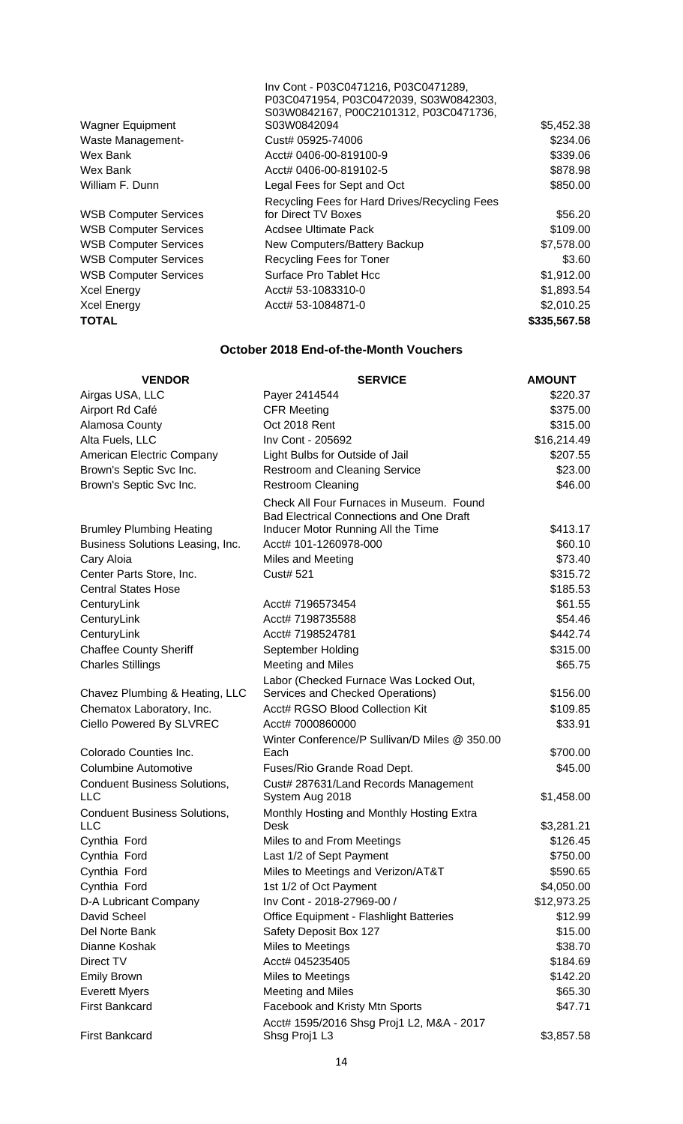| <b>Wagner Equipment</b>      | Inv Cont - P03C0471216, P03C0471289,<br>P03C0471954, P03C0472039, S03W0842303,<br>S03W0842167, P00C2101312, P03C0471736,<br>S03W0842094 | \$5,452.38   |
|------------------------------|-----------------------------------------------------------------------------------------------------------------------------------------|--------------|
| Waste Management-            | Cust# 05925-74006                                                                                                                       | \$234.06     |
| Wex Bank                     | Acct# 0406-00-819100-9                                                                                                                  | \$339.06     |
| Wex Bank                     | Acct# 0406-00-819102-5                                                                                                                  | \$878.98     |
| William F. Dunn              | Legal Fees for Sept and Oct                                                                                                             | \$850.00     |
| <b>WSB Computer Services</b> | Recycling Fees for Hard Drives/Recycling Fees<br>for Direct TV Boxes                                                                    | \$56.20      |
|                              |                                                                                                                                         |              |
| <b>WSB Computer Services</b> | Acdsee Ultimate Pack                                                                                                                    | \$109.00     |
| <b>WSB Computer Services</b> | New Computers/Battery Backup                                                                                                            | \$7,578.00   |
| <b>WSB Computer Services</b> | Recycling Fees for Toner                                                                                                                | \$3.60       |
| <b>WSB Computer Services</b> | Surface Pro Tablet Hcc                                                                                                                  | \$1,912.00   |
| <b>Xcel Energy</b>           | Acct# 53-1083310-0                                                                                                                      | \$1,893.54   |
| <b>Xcel Energy</b>           | Acct# 53-1084871-0                                                                                                                      | \$2,010.25   |
| TOTAL                        |                                                                                                                                         | \$335,567.58 |

# **October 2018 End-of-the-Month Vouchers**

| <b>VENDOR</b>                                     | <b>SERVICE</b>                                                                       | <b>AMOUNT</b> |
|---------------------------------------------------|--------------------------------------------------------------------------------------|---------------|
| Airgas USA, LLC                                   | Payer 2414544                                                                        | \$220.37      |
| Airport Rd Café                                   | <b>CFR Meeting</b>                                                                   | \$375.00      |
| Alamosa County                                    | Oct 2018 Rent                                                                        | \$315.00      |
| Alta Fuels, LLC                                   | Inv Cont - 205692                                                                    | \$16,214.49   |
| American Electric Company                         | Light Bulbs for Outside of Jail                                                      | \$207.55      |
| Brown's Septic Svc Inc.                           | <b>Restroom and Cleaning Service</b>                                                 | \$23.00       |
| Brown's Septic Svc Inc.                           | <b>Restroom Cleaning</b>                                                             | \$46.00       |
|                                                   | Check All Four Furnaces in Museum. Found<br>Bad Electrical Connections and One Draft |               |
| <b>Brumley Plumbing Heating</b>                   | Inducer Motor Running All the Time                                                   | \$413.17      |
| Business Solutions Leasing, Inc.                  | Acct# 101-1260978-000                                                                | \$60.10       |
| Cary Aloia                                        | Miles and Meeting                                                                    | \$73.40       |
| Center Parts Store, Inc.                          | <b>Cust# 521</b>                                                                     | \$315.72      |
| <b>Central States Hose</b>                        |                                                                                      | \$185.53      |
| CenturyLink                                       | Acct# 7196573454                                                                     | \$61.55       |
| CenturyLink                                       | Acct# 7198735588                                                                     | \$54.46       |
| CenturyLink                                       | Acct# 7198524781                                                                     | \$442.74      |
| <b>Chaffee County Sheriff</b>                     | September Holding                                                                    | \$315.00      |
| <b>Charles Stillings</b>                          | Meeting and Miles                                                                    | \$65.75       |
|                                                   | Labor (Checked Furnace Was Locked Out,                                               |               |
| Chavez Plumbing & Heating, LLC                    | Services and Checked Operations)                                                     | \$156.00      |
| Chematox Laboratory, Inc.                         | Acct# RGSO Blood Collection Kit                                                      | \$109.85      |
| Ciello Powered By SLVREC                          | Acct# 7000860000                                                                     | \$33.91       |
|                                                   | Winter Conference/P Sullivan/D Miles @ 350.00                                        |               |
| Colorado Counties Inc.                            | Each                                                                                 | \$700.00      |
| Columbine Automotive                              | Fuses/Rio Grande Road Dept.                                                          | \$45.00       |
| <b>Conduent Business Solutions,</b><br><b>LLC</b> | Cust# 287631/Land Records Management<br>System Aug 2018                              | \$1,458.00    |
| <b>Conduent Business Solutions,</b>               | Monthly Hosting and Monthly Hosting Extra                                            |               |
| <b>LLC</b>                                        | Desk                                                                                 | \$3,281.21    |
| Cynthia Ford                                      | Miles to and From Meetings                                                           | \$126.45      |
| Cynthia Ford                                      | Last 1/2 of Sept Payment                                                             | \$750.00      |
| Cynthia Ford                                      | Miles to Meetings and Verizon/AT&T                                                   | \$590.65      |
| Cynthia Ford                                      | 1st 1/2 of Oct Payment                                                               | \$4,050.00    |
| D-A Lubricant Company                             | Inv Cont - 2018-27969-00 /                                                           | \$12,973.25   |
| David Scheel                                      | <b>Office Equipment - Flashlight Batteries</b>                                       | \$12.99       |
| Del Norte Bank                                    | Safety Deposit Box 127                                                               | \$15.00       |
| Dianne Koshak                                     | Miles to Meetings                                                                    | \$38.70       |
| Direct TV                                         | Acct# 045235405                                                                      | \$184.69      |
| <b>Emily Brown</b>                                | Miles to Meetings                                                                    | \$142.20      |
| <b>Everett Myers</b>                              | <b>Meeting and Miles</b>                                                             | \$65.30       |
| <b>First Bankcard</b>                             | Facebook and Kristy Mtn Sports                                                       | \$47.71       |
| <b>First Bankcard</b>                             | Acct# 1595/2016 Shsg Proj1 L2, M&A - 2017<br>Shsg Proj1 L3                           | \$3,857.58    |
|                                                   |                                                                                      |               |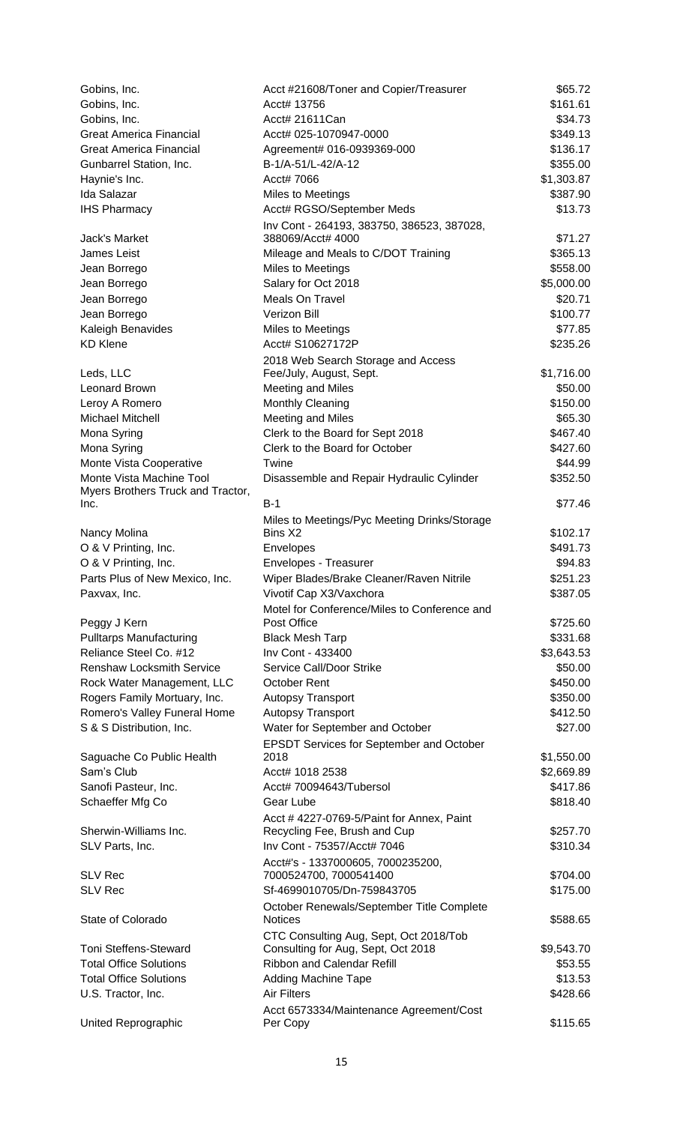| Gobins, Inc.                      | Acct #21608/Toner and Copier/Treasurer                  | \$65.72    |
|-----------------------------------|---------------------------------------------------------|------------|
| Gobins, Inc.                      | Acct# 13756                                             | \$161.61   |
| Gobins, Inc.                      | Acct# 21611Can                                          | \$34.73    |
| <b>Great America Financial</b>    | Acct# 025-1070947-0000                                  | \$349.13   |
| <b>Great America Financial</b>    | Agreement# 016-0939369-000                              | \$136.17   |
| Gunbarrel Station, Inc.           | B-1/A-51/L-42/A-12                                      | \$355.00   |
| Haynie's Inc.                     | Acct# 7066                                              | \$1,303.87 |
| Ida Salazar                       | Miles to Meetings                                       | \$387.90   |
| <b>IHS Pharmacy</b>               | Acct# RGSO/September Meds                               | \$13.73    |
|                                   | Inv Cont - 264193, 383750, 386523, 387028,              |            |
| Jack's Market                     | 388069/Acct# 4000                                       | \$71.27    |
| <b>James Leist</b>                | Mileage and Meals to C/DOT Training                     | \$365.13   |
| Jean Borrego                      | Miles to Meetings                                       | \$558.00   |
| Jean Borrego                      | Salary for Oct 2018                                     | \$5,000.00 |
| Jean Borrego                      | <b>Meals On Travel</b>                                  | \$20.71    |
| Jean Borrego                      | Verizon Bill                                            | \$100.77   |
| Kaleigh Benavides                 | Miles to Meetings                                       | \$77.85    |
| <b>KD Klene</b>                   | Acct# S10627172P                                        | \$235.26   |
|                                   | 2018 Web Search Storage and Access                      |            |
| Leds, LLC                         | Fee/July, August, Sept.                                 | \$1,716.00 |
| <b>Leonard Brown</b>              | <b>Meeting and Miles</b>                                | \$50.00    |
| Leroy A Romero                    | Monthly Cleaning                                        | \$150.00   |
| Michael Mitchell                  | <b>Meeting and Miles</b>                                | \$65.30    |
| Mona Syring                       | Clerk to the Board for Sept 2018                        | \$467.40   |
| Mona Syring                       | Clerk to the Board for October                          | \$427.60   |
| Monte Vista Cooperative           | Twine                                                   | \$44.99    |
| Monte Vista Machine Tool          | Disassemble and Repair Hydraulic Cylinder               | \$352.50   |
| Myers Brothers Truck and Tractor, | $B-1$                                                   |            |
| Inc.                              |                                                         | \$77.46    |
| Nancy Molina                      | Miles to Meetings/Pyc Meeting Drinks/Storage<br>Bins X2 | \$102.17   |
| O & V Printing, Inc.              | Envelopes                                               | \$491.73   |
| O & V Printing, Inc.              | Envelopes - Treasurer                                   | \$94.83    |
| Parts Plus of New Mexico, Inc.    | Wiper Blades/Brake Cleaner/Raven Nitrile                | \$251.23   |
| Paxvax, Inc.                      | Vivotif Cap X3/Vaxchora                                 | \$387.05   |
|                                   | Motel for Conference/Miles to Conference and            |            |
| Peggy J Kern                      | Post Office                                             | \$725.60   |
| <b>Pulltarps Manufacturing</b>    | <b>Black Mesh Tarp</b>                                  | \$331.68   |
| Reliance Steel Co. #12            | Inv Cont - 433400                                       | \$3,643.53 |
| <b>Renshaw Locksmith Service</b>  | Service Call/Door Strike                                | \$50.00    |
| Rock Water Management, LLC        | <b>October Rent</b>                                     | \$450.00   |
| Rogers Family Mortuary, Inc.      | <b>Autopsy Transport</b>                                | \$350.00   |
| Romero's Valley Funeral Home      | <b>Autopsy Transport</b>                                | \$412.50   |
| S & S Distribution, Inc.          | Water for September and October                         | \$27.00    |
|                                   | EPSDT Services for September and October                |            |
| Saguache Co Public Health         | 2018                                                    | \$1,550.00 |
| Sam's Club                        | Acct# 1018 2538                                         | \$2,669.89 |
| Sanofi Pasteur, Inc.              | Acct# 70094643/Tubersol                                 | \$417.86   |
| Schaeffer Mfg Co                  | Gear Lube                                               | \$818.40   |
|                                   | Acct #4227-0769-5/Paint for Annex, Paint                |            |
| Sherwin-Williams Inc.             | Recycling Fee, Brush and Cup                            | \$257.70   |
| SLV Parts, Inc.                   | Inv Cont - 75357/Acct# 7046                             | \$310.34   |
|                                   | Acct#'s - 1337000605, 7000235200,                       |            |
| <b>SLV Rec</b>                    | 7000524700, 7000541400                                  | \$704.00   |
| <b>SLV Rec</b>                    | Sf-4699010705/Dn-759843705                              | \$175.00   |
|                                   | October Renewals/September Title Complete               |            |
| State of Colorado                 | <b>Notices</b>                                          | \$588.65   |
|                                   | CTC Consulting Aug, Sept, Oct 2018/Tob                  |            |
| <b>Toni Steffens-Steward</b>      | Consulting for Aug, Sept, Oct 2018                      | \$9,543.70 |
| <b>Total Office Solutions</b>     | <b>Ribbon and Calendar Refill</b>                       | \$53.55    |
| <b>Total Office Solutions</b>     | <b>Adding Machine Tape</b>                              | \$13.53    |
| U.S. Tractor, Inc.                | <b>Air Filters</b>                                      | \$428.66   |
|                                   | Acct 6573334/Maintenance Agreement/Cost                 |            |
| United Reprographic               | Per Copy                                                | \$115.65   |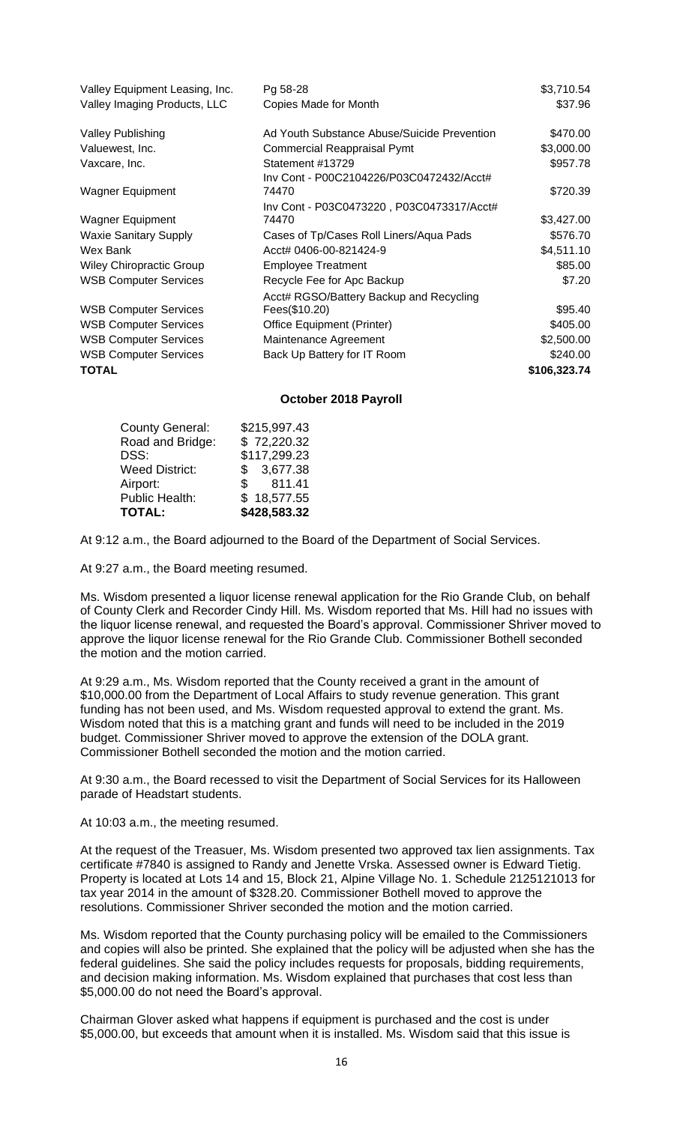| Valley Equipment Leasing, Inc. | Pg 58-28                                    | \$3,710.54   |
|--------------------------------|---------------------------------------------|--------------|
| Valley Imaging Products, LLC   | Copies Made for Month                       | \$37.96      |
| <b>Valley Publishing</b>       | Ad Youth Substance Abuse/Suicide Prevention | \$470.00     |
| Valuewest, Inc.                | <b>Commercial Reappraisal Pymt</b>          | \$3,000.00   |
| Vaxcare, Inc.                  | Statement #13729                            | \$957.78     |
|                                | Inv Cont - P00C2104226/P03C0472432/Acct#    |              |
| <b>Wagner Equipment</b>        | 74470                                       | \$720.39     |
|                                | Inv Cont - P03C0473220, P03C0473317/Acct#   |              |
| <b>Wagner Equipment</b>        | 74470                                       | \$3,427.00   |
| <b>Waxie Sanitary Supply</b>   | Cases of Tp/Cases Roll Liners/Aqua Pads     | \$576.70     |
| Wex Bank                       | Acct# 0406-00-821424-9                      | \$4,511.10   |
| Wiley Chiropractic Group       | <b>Employee Treatment</b>                   | \$85.00      |
| <b>WSB Computer Services</b>   | Recycle Fee for Apc Backup                  | \$7.20       |
|                                | Acct# RGSO/Battery Backup and Recycling     |              |
| <b>WSB Computer Services</b>   | Fees(\$10.20)                               | \$95.40      |
| <b>WSB Computer Services</b>   | Office Equipment (Printer)                  | \$405.00     |
| <b>WSB Computer Services</b>   | Maintenance Agreement                       | \$2,500.00   |
| <b>WSB Computer Services</b>   | Back Up Battery for IT Room                 | \$240.00     |
| <b>TOTAL</b>                   |                                             | \$106,323.74 |

#### **October 2018 Payroll**

| <b>County General:</b> | \$215,997.43 |
|------------------------|--------------|
| Road and Bridge:       | \$72,220.32  |
| DSS:                   | \$117,299.23 |
| <b>Weed District:</b>  | \$3,677.38   |
| Airport:               | 811.41<br>\$ |
| Public Health:         | \$18,577.55  |
| <b>TOTAL:</b>          | \$428,583.32 |

At 9:12 a.m., the Board adjourned to the Board of the Department of Social Services.

At 9:27 a.m., the Board meeting resumed.

Ms. Wisdom presented a liquor license renewal application for the Rio Grande Club, on behalf of County Clerk and Recorder Cindy Hill. Ms. Wisdom reported that Ms. Hill had no issues with the liquor license renewal, and requested the Board's approval. Commissioner Shriver moved to approve the liquor license renewal for the Rio Grande Club. Commissioner Bothell seconded the motion and the motion carried.

At 9:29 a.m., Ms. Wisdom reported that the County received a grant in the amount of \$10,000.00 from the Department of Local Affairs to study revenue generation. This grant funding has not been used, and Ms. Wisdom requested approval to extend the grant. Ms. Wisdom noted that this is a matching grant and funds will need to be included in the 2019 budget. Commissioner Shriver moved to approve the extension of the DOLA grant. Commissioner Bothell seconded the motion and the motion carried.

At 9:30 a.m., the Board recessed to visit the Department of Social Services for its Halloween parade of Headstart students.

At 10:03 a.m., the meeting resumed.

At the request of the Treasuer, Ms. Wisdom presented two approved tax lien assignments. Tax certificate #7840 is assigned to Randy and Jenette Vrska. Assessed owner is Edward Tietig. Property is located at Lots 14 and 15, Block 21, Alpine Village No. 1. Schedule 2125121013 for tax year 2014 in the amount of \$328.20. Commissioner Bothell moved to approve the resolutions. Commissioner Shriver seconded the motion and the motion carried.

Ms. Wisdom reported that the County purchasing policy will be emailed to the Commissioners and copies will also be printed. She explained that the policy will be adjusted when she has the federal guidelines. She said the policy includes requests for proposals, bidding requirements, and decision making information. Ms. Wisdom explained that purchases that cost less than \$5,000.00 do not need the Board's approval.

Chairman Glover asked what happens if equipment is purchased and the cost is under \$5,000.00, but exceeds that amount when it is installed. Ms. Wisdom said that this issue is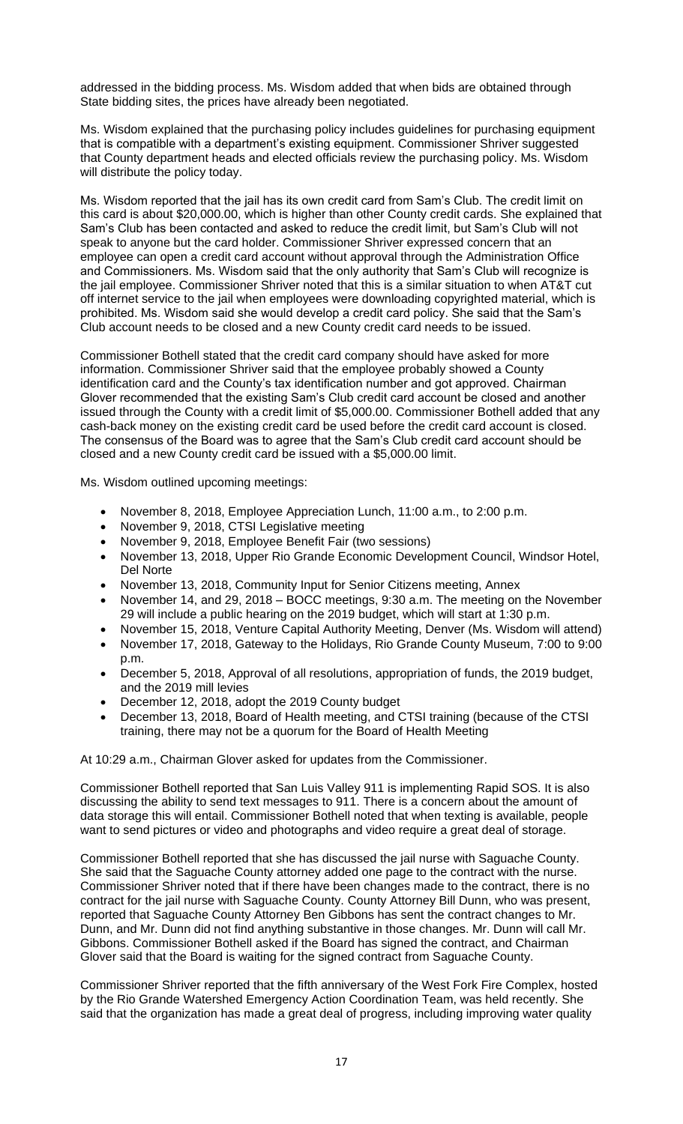addressed in the bidding process. Ms. Wisdom added that when bids are obtained through State bidding sites, the prices have already been negotiated.

Ms. Wisdom explained that the purchasing policy includes guidelines for purchasing equipment that is compatible with a department's existing equipment. Commissioner Shriver suggested that County department heads and elected officials review the purchasing policy. Ms. Wisdom will distribute the policy today.

Ms. Wisdom reported that the jail has its own credit card from Sam's Club. The credit limit on this card is about \$20,000.00, which is higher than other County credit cards. She explained that Sam's Club has been contacted and asked to reduce the credit limit, but Sam's Club will not speak to anyone but the card holder. Commissioner Shriver expressed concern that an employee can open a credit card account without approval through the Administration Office and Commissioners. Ms. Wisdom said that the only authority that Sam's Club will recognize is the jail employee. Commissioner Shriver noted that this is a similar situation to when AT&T cut off internet service to the jail when employees were downloading copyrighted material, which is prohibited. Ms. Wisdom said she would develop a credit card policy. She said that the Sam's Club account needs to be closed and a new County credit card needs to be issued.

Commissioner Bothell stated that the credit card company should have asked for more information. Commissioner Shriver said that the employee probably showed a County identification card and the County's tax identification number and got approved. Chairman Glover recommended that the existing Sam's Club credit card account be closed and another issued through the County with a credit limit of \$5,000.00. Commissioner Bothell added that any cash-back money on the existing credit card be used before the credit card account is closed. The consensus of the Board was to agree that the Sam's Club credit card account should be closed and a new County credit card be issued with a \$5,000.00 limit.

Ms. Wisdom outlined upcoming meetings:

- November 8, 2018, Employee Appreciation Lunch, 11:00 a.m., to 2:00 p.m.
- November 9, 2018, CTSI Legislative meeting
- November 9, 2018, Employee Benefit Fair (two sessions)
- November 13, 2018, Upper Rio Grande Economic Development Council, Windsor Hotel, Del Norte
- November 13, 2018, Community Input for Senior Citizens meeting, Annex
- November 14, and 29, 2018 BOCC meetings, 9:30 a.m. The meeting on the November 29 will include a public hearing on the 2019 budget, which will start at 1:30 p.m.
- November 15, 2018, Venture Capital Authority Meeting, Denver (Ms. Wisdom will attend)
- November 17, 2018, Gateway to the Holidays, Rio Grande County Museum, 7:00 to 9:00 p.m.
- December 5, 2018, Approval of all resolutions, appropriation of funds, the 2019 budget, and the 2019 mill levies
- December 12, 2018, adopt the 2019 County budget
- December 13, 2018, Board of Health meeting, and CTSI training (because of the CTSI training, there may not be a quorum for the Board of Health Meeting

At 10:29 a.m., Chairman Glover asked for updates from the Commissioner.

Commissioner Bothell reported that San Luis Valley 911 is implementing Rapid SOS. It is also discussing the ability to send text messages to 911. There is a concern about the amount of data storage this will entail. Commissioner Bothell noted that when texting is available, people want to send pictures or video and photographs and video require a great deal of storage.

Commissioner Bothell reported that she has discussed the jail nurse with Saguache County. She said that the Saguache County attorney added one page to the contract with the nurse. Commissioner Shriver noted that if there have been changes made to the contract, there is no contract for the jail nurse with Saguache County. County Attorney Bill Dunn, who was present, reported that Saguache County Attorney Ben Gibbons has sent the contract changes to Mr. Dunn, and Mr. Dunn did not find anything substantive in those changes. Mr. Dunn will call Mr. Gibbons. Commissioner Bothell asked if the Board has signed the contract, and Chairman Glover said that the Board is waiting for the signed contract from Saguache County.

Commissioner Shriver reported that the fifth anniversary of the West Fork Fire Complex, hosted by the Rio Grande Watershed Emergency Action Coordination Team, was held recently. She said that the organization has made a great deal of progress, including improving water quality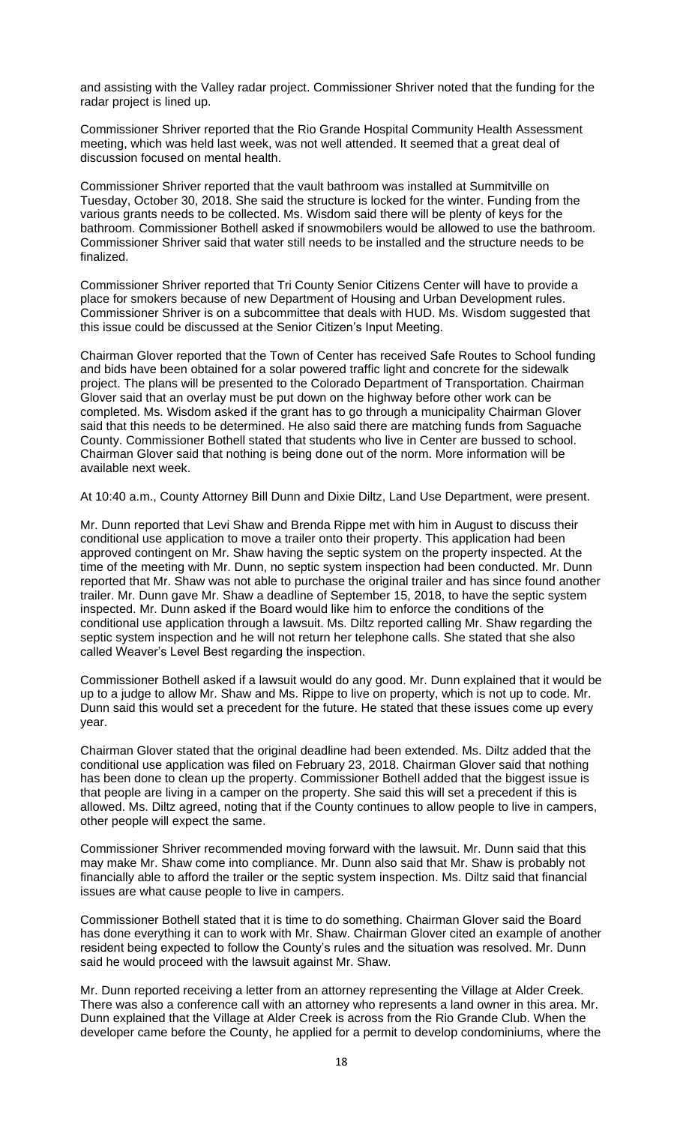and assisting with the Valley radar project. Commissioner Shriver noted that the funding for the radar project is lined up.

Commissioner Shriver reported that the Rio Grande Hospital Community Health Assessment meeting, which was held last week, was not well attended. It seemed that a great deal of discussion focused on mental health.

Commissioner Shriver reported that the vault bathroom was installed at Summitville on Tuesday, October 30, 2018. She said the structure is locked for the winter. Funding from the various grants needs to be collected. Ms. Wisdom said there will be plenty of keys for the bathroom. Commissioner Bothell asked if snowmobilers would be allowed to use the bathroom. Commissioner Shriver said that water still needs to be installed and the structure needs to be finalized.

Commissioner Shriver reported that Tri County Senior Citizens Center will have to provide a place for smokers because of new Department of Housing and Urban Development rules. Commissioner Shriver is on a subcommittee that deals with HUD. Ms. Wisdom suggested that this issue could be discussed at the Senior Citizen's Input Meeting.

Chairman Glover reported that the Town of Center has received Safe Routes to School funding and bids have been obtained for a solar powered traffic light and concrete for the sidewalk project. The plans will be presented to the Colorado Department of Transportation. Chairman Glover said that an overlay must be put down on the highway before other work can be completed. Ms. Wisdom asked if the grant has to go through a municipality Chairman Glover said that this needs to be determined. He also said there are matching funds from Saguache County. Commissioner Bothell stated that students who live in Center are bussed to school. Chairman Glover said that nothing is being done out of the norm. More information will be available next week.

At 10:40 a.m., County Attorney Bill Dunn and Dixie Diltz, Land Use Department, were present.

Mr. Dunn reported that Levi Shaw and Brenda Rippe met with him in August to discuss their conditional use application to move a trailer onto their property. This application had been approved contingent on Mr. Shaw having the septic system on the property inspected. At the time of the meeting with Mr. Dunn, no septic system inspection had been conducted. Mr. Dunn reported that Mr. Shaw was not able to purchase the original trailer and has since found another trailer. Mr. Dunn gave Mr. Shaw a deadline of September 15, 2018, to have the septic system inspected. Mr. Dunn asked if the Board would like him to enforce the conditions of the conditional use application through a lawsuit. Ms. Diltz reported calling Mr. Shaw regarding the septic system inspection and he will not return her telephone calls. She stated that she also called Weaver's Level Best regarding the inspection.

Commissioner Bothell asked if a lawsuit would do any good. Mr. Dunn explained that it would be up to a judge to allow Mr. Shaw and Ms. Rippe to live on property, which is not up to code. Mr. Dunn said this would set a precedent for the future. He stated that these issues come up every year.

Chairman Glover stated that the original deadline had been extended. Ms. Diltz added that the conditional use application was filed on February 23, 2018. Chairman Glover said that nothing has been done to clean up the property. Commissioner Bothell added that the biggest issue is that people are living in a camper on the property. She said this will set a precedent if this is allowed. Ms. Diltz agreed, noting that if the County continues to allow people to live in campers, other people will expect the same.

Commissioner Shriver recommended moving forward with the lawsuit. Mr. Dunn said that this may make Mr. Shaw come into compliance. Mr. Dunn also said that Mr. Shaw is probably not financially able to afford the trailer or the septic system inspection. Ms. Diltz said that financial issues are what cause people to live in campers.

Commissioner Bothell stated that it is time to do something. Chairman Glover said the Board has done everything it can to work with Mr. Shaw. Chairman Glover cited an example of another resident being expected to follow the County's rules and the situation was resolved. Mr. Dunn said he would proceed with the lawsuit against Mr. Shaw.

Mr. Dunn reported receiving a letter from an attorney representing the Village at Alder Creek. There was also a conference call with an attorney who represents a land owner in this area. Mr. Dunn explained that the Village at Alder Creek is across from the Rio Grande Club. When the developer came before the County, he applied for a permit to develop condominiums, where the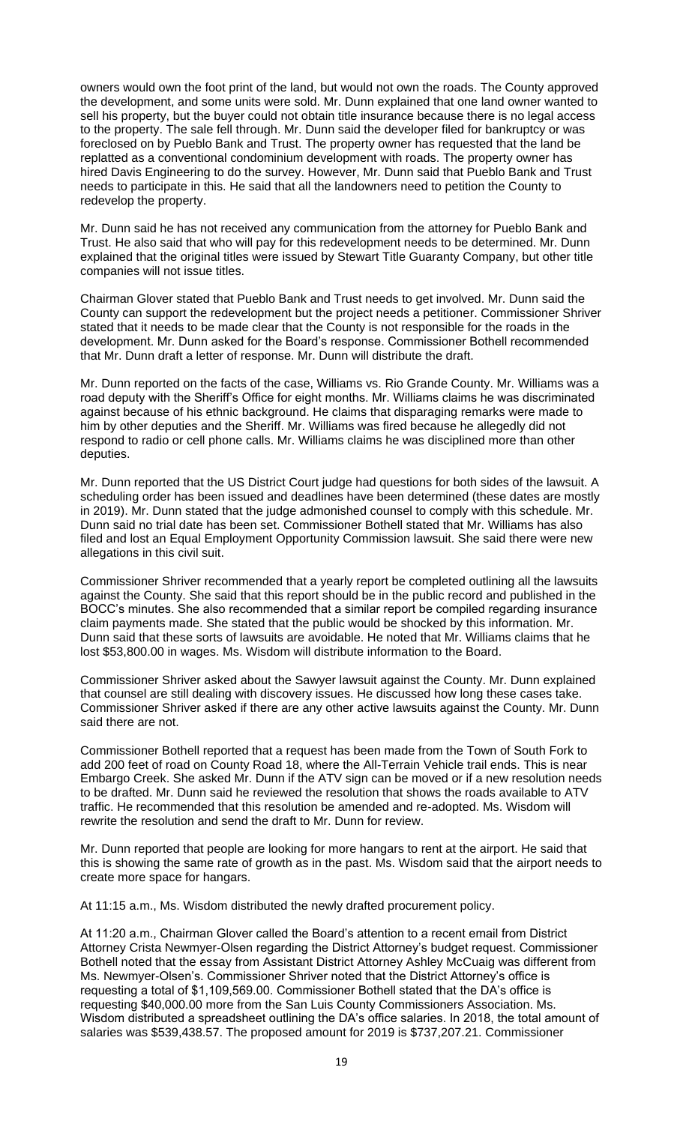owners would own the foot print of the land, but would not own the roads. The County approved the development, and some units were sold. Mr. Dunn explained that one land owner wanted to sell his property, but the buyer could not obtain title insurance because there is no legal access to the property. The sale fell through. Mr. Dunn said the developer filed for bankruptcy or was foreclosed on by Pueblo Bank and Trust. The property owner has requested that the land be replatted as a conventional condominium development with roads. The property owner has hired Davis Engineering to do the survey. However, Mr. Dunn said that Pueblo Bank and Trust needs to participate in this. He said that all the landowners need to petition the County to redevelop the property.

Mr. Dunn said he has not received any communication from the attorney for Pueblo Bank and Trust. He also said that who will pay for this redevelopment needs to be determined. Mr. Dunn explained that the original titles were issued by Stewart Title Guaranty Company, but other title companies will not issue titles.

Chairman Glover stated that Pueblo Bank and Trust needs to get involved. Mr. Dunn said the County can support the redevelopment but the project needs a petitioner. Commissioner Shriver stated that it needs to be made clear that the County is not responsible for the roads in the development. Mr. Dunn asked for the Board's response. Commissioner Bothell recommended that Mr. Dunn draft a letter of response. Mr. Dunn will distribute the draft.

Mr. Dunn reported on the facts of the case, Williams vs. Rio Grande County. Mr. Williams was a road deputy with the Sheriff's Office for eight months. Mr. Williams claims he was discriminated against because of his ethnic background. He claims that disparaging remarks were made to him by other deputies and the Sheriff. Mr. Williams was fired because he allegedly did not respond to radio or cell phone calls. Mr. Williams claims he was disciplined more than other deputies.

Mr. Dunn reported that the US District Court judge had questions for both sides of the lawsuit. A scheduling order has been issued and deadlines have been determined (these dates are mostly in 2019). Mr. Dunn stated that the judge admonished counsel to comply with this schedule. Mr. Dunn said no trial date has been set. Commissioner Bothell stated that Mr. Williams has also filed and lost an Equal Employment Opportunity Commission lawsuit. She said there were new allegations in this civil suit.

Commissioner Shriver recommended that a yearly report be completed outlining all the lawsuits against the County. She said that this report should be in the public record and published in the BOCC's minutes. She also recommended that a similar report be compiled regarding insurance claim payments made. She stated that the public would be shocked by this information. Mr. Dunn said that these sorts of lawsuits are avoidable. He noted that Mr. Williams claims that he lost \$53,800.00 in wages. Ms. Wisdom will distribute information to the Board.

Commissioner Shriver asked about the Sawyer lawsuit against the County. Mr. Dunn explained that counsel are still dealing with discovery issues. He discussed how long these cases take. Commissioner Shriver asked if there are any other active lawsuits against the County. Mr. Dunn said there are not.

Commissioner Bothell reported that a request has been made from the Town of South Fork to add 200 feet of road on County Road 18, where the All-Terrain Vehicle trail ends. This is near Embargo Creek. She asked Mr. Dunn if the ATV sign can be moved or if a new resolution needs to be drafted. Mr. Dunn said he reviewed the resolution that shows the roads available to ATV traffic. He recommended that this resolution be amended and re-adopted. Ms. Wisdom will rewrite the resolution and send the draft to Mr. Dunn for review.

Mr. Dunn reported that people are looking for more hangars to rent at the airport. He said that this is showing the same rate of growth as in the past. Ms. Wisdom said that the airport needs to create more space for hangars.

At 11:15 a.m., Ms. Wisdom distributed the newly drafted procurement policy.

At 11:20 a.m., Chairman Glover called the Board's attention to a recent email from District Attorney Crista Newmyer-Olsen regarding the District Attorney's budget request. Commissioner Bothell noted that the essay from Assistant District Attorney Ashley McCuaig was different from Ms. Newmyer-Olsen's. Commissioner Shriver noted that the District Attorney's office is requesting a total of \$1,109,569.00. Commissioner Bothell stated that the DA's office is requesting \$40,000.00 more from the San Luis County Commissioners Association. Ms. Wisdom distributed a spreadsheet outlining the DA's office salaries. In 2018, the total amount of salaries was \$539,438.57. The proposed amount for 2019 is \$737,207.21. Commissioner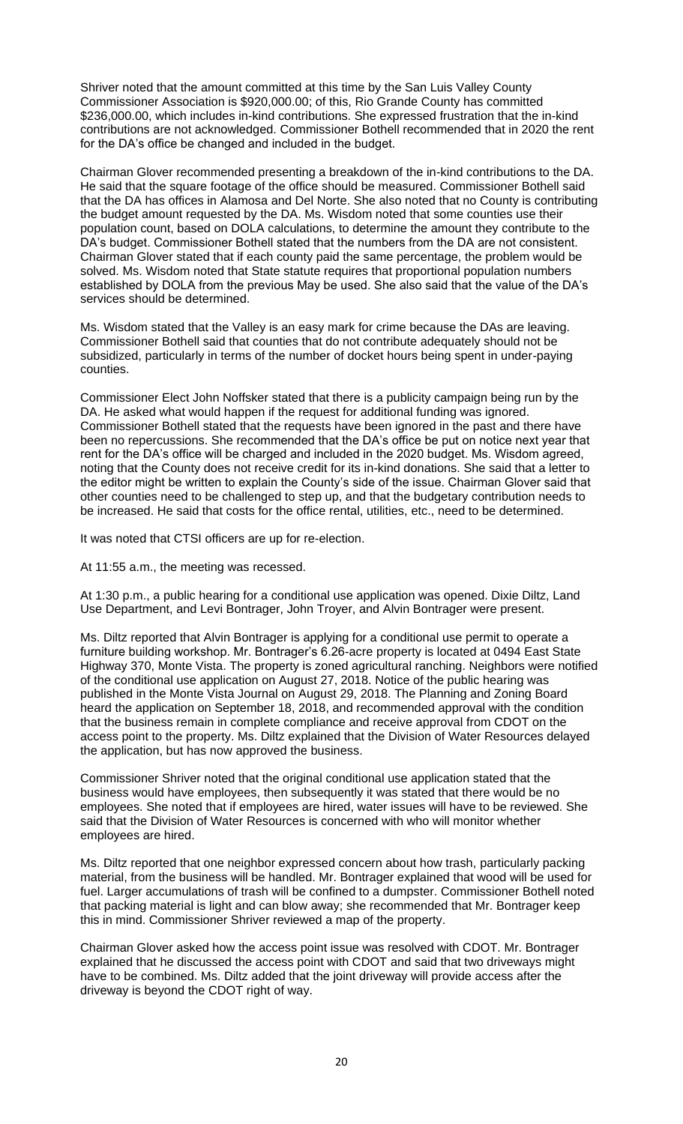Shriver noted that the amount committed at this time by the San Luis Valley County Commissioner Association is \$920,000.00; of this, Rio Grande County has committed \$236,000.00, which includes in-kind contributions. She expressed frustration that the in-kind contributions are not acknowledged. Commissioner Bothell recommended that in 2020 the rent for the DA's office be changed and included in the budget.

Chairman Glover recommended presenting a breakdown of the in-kind contributions to the DA. He said that the square footage of the office should be measured. Commissioner Bothell said that the DA has offices in Alamosa and Del Norte. She also noted that no County is contributing the budget amount requested by the DA. Ms. Wisdom noted that some counties use their population count, based on DOLA calculations, to determine the amount they contribute to the DA's budget. Commissioner Bothell stated that the numbers from the DA are not consistent. Chairman Glover stated that if each county paid the same percentage, the problem would be solved. Ms. Wisdom noted that State statute requires that proportional population numbers established by DOLA from the previous May be used. She also said that the value of the DA's services should be determined.

Ms. Wisdom stated that the Valley is an easy mark for crime because the DAs are leaving. Commissioner Bothell said that counties that do not contribute adequately should not be subsidized, particularly in terms of the number of docket hours being spent in under-paying counties.

Commissioner Elect John Noffsker stated that there is a publicity campaign being run by the DA. He asked what would happen if the request for additional funding was ignored. Commissioner Bothell stated that the requests have been ignored in the past and there have been no repercussions. She recommended that the DA's office be put on notice next year that rent for the DA's office will be charged and included in the 2020 budget. Ms. Wisdom agreed, noting that the County does not receive credit for its in-kind donations. She said that a letter to the editor might be written to explain the County's side of the issue. Chairman Glover said that other counties need to be challenged to step up, and that the budgetary contribution needs to be increased. He said that costs for the office rental, utilities, etc., need to be determined.

It was noted that CTSI officers are up for re-election.

At 11:55 a.m., the meeting was recessed.

At 1:30 p.m., a public hearing for a conditional use application was opened. Dixie Diltz, Land Use Department, and Levi Bontrager, John Troyer, and Alvin Bontrager were present.

Ms. Diltz reported that Alvin Bontrager is applying for a conditional use permit to operate a furniture building workshop. Mr. Bontrager's 6.26-acre property is located at 0494 East State Highway 370, Monte Vista. The property is zoned agricultural ranching. Neighbors were notified of the conditional use application on August 27, 2018. Notice of the public hearing was published in the Monte Vista Journal on August 29, 2018. The Planning and Zoning Board heard the application on September 18, 2018, and recommended approval with the condition that the business remain in complete compliance and receive approval from CDOT on the access point to the property. Ms. Diltz explained that the Division of Water Resources delayed the application, but has now approved the business.

Commissioner Shriver noted that the original conditional use application stated that the business would have employees, then subsequently it was stated that there would be no employees. She noted that if employees are hired, water issues will have to be reviewed. She said that the Division of Water Resources is concerned with who will monitor whether employees are hired.

Ms. Diltz reported that one neighbor expressed concern about how trash, particularly packing material, from the business will be handled. Mr. Bontrager explained that wood will be used for fuel. Larger accumulations of trash will be confined to a dumpster. Commissioner Bothell noted that packing material is light and can blow away; she recommended that Mr. Bontrager keep this in mind. Commissioner Shriver reviewed a map of the property.

Chairman Glover asked how the access point issue was resolved with CDOT. Mr. Bontrager explained that he discussed the access point with CDOT and said that two driveways might have to be combined. Ms. Diltz added that the joint driveway will provide access after the driveway is beyond the CDOT right of way.